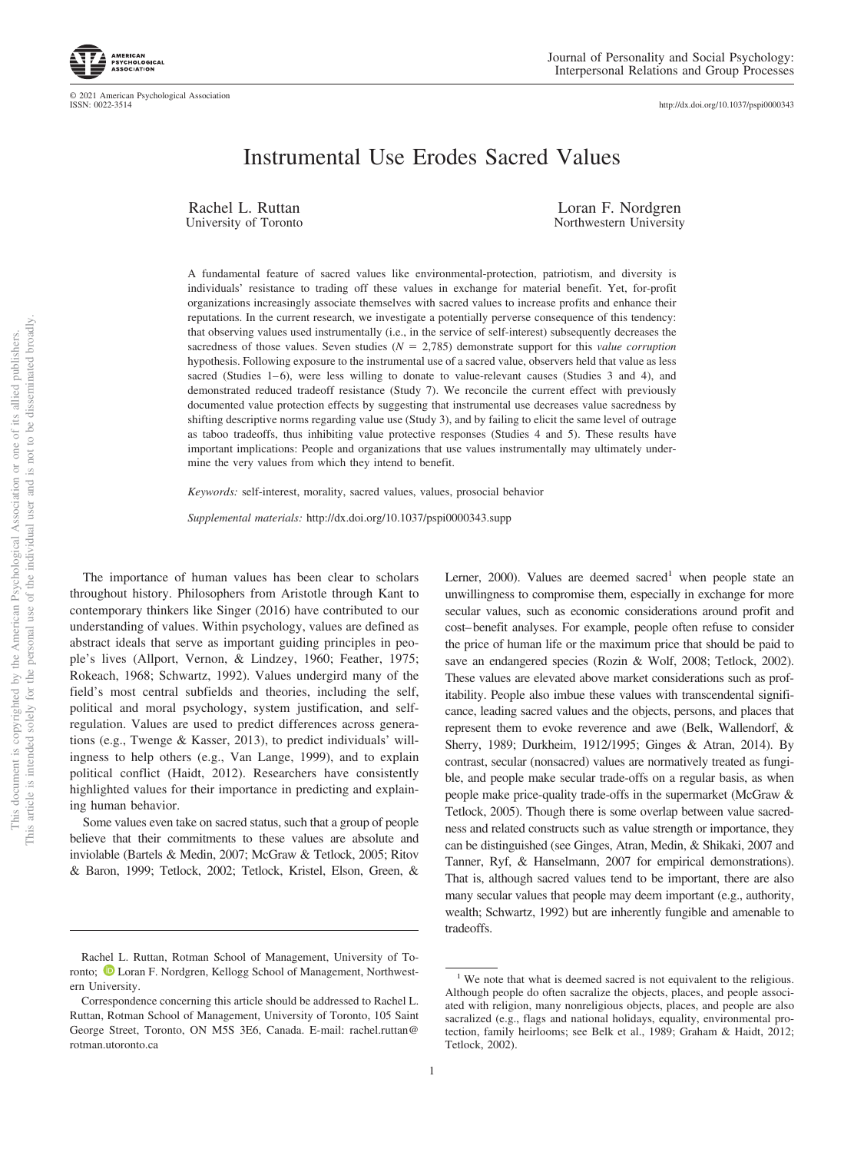http://dx.doi.org/10.1037/pspi0000343

# Instrumental Use Erodes Sacred Values

Rachel L. Ruttan University of Toronto

Loran F. Nordgren Northwestern University

A fundamental feature of sacred values like environmental-protection, patriotism, and diversity is individuals' resistance to trading off these values in exchange for material benefit. Yet, for-profit organizations increasingly associate themselves with sacred values to increase profits and enhance their reputations. In the current research, we investigate a potentially perverse consequence of this tendency: that observing values used instrumentally (i.e., in the service of self-interest) subsequently decreases the sacredness of those values. Seven studies  $(N = 2,785)$  demonstrate support for this *value corruption* hypothesis. Following exposure to the instrumental use of a sacred value, observers held that value as less sacred (Studies 1–6), were less willing to donate to value-relevant causes (Studies 3 and 4), and demonstrated reduced tradeoff resistance (Study 7). We reconcile the current effect with previously documented value protection effects by suggesting that instrumental use decreases value sacredness by shifting descriptive norms regarding value use (Study 3), and by failing to elicit the same level of outrage as taboo tradeoffs, thus inhibiting value protective responses (Studies 4 and 5). These results have important implications: People and organizations that use values instrumentally may ultimately undermine the very values from which they intend to benefit.

*Keywords:* self-interest, morality, sacred values, values, prosocial behavior

*Supplemental materials:* http://dx.doi.org/10.1037/pspi0000343.supp

The importance of human values has been clear to scholars throughout history. Philosophers from Aristotle through Kant to contemporary thinkers like Singer (2016) have contributed to our understanding of values. Within psychology, values are defined as abstract ideals that serve as important guiding principles in people's lives (Allport, Vernon, & Lindzey, 1960; Feather, 1975; Rokeach, 1968; Schwartz, 1992). Values undergird many of the field's most central subfields and theories, including the self, political and moral psychology, system justification, and selfregulation. Values are used to predict differences across generations (e.g., Twenge & Kasser, 2013), to predict individuals' willingness to help others (e.g., Van Lange, 1999), and to explain political conflict (Haidt, 2012). Researchers have consistently highlighted values for their importance in predicting and explaining human behavior.

Some values even take on sacred status, such that a group of people believe that their commitments to these values are absolute and inviolable (Bartels & Medin, 2007; McGraw & Tetlock, 2005; Ritov & Baron, 1999; Tetlock, 2002; Tetlock, Kristel, Elson, Green, & Lerner,  $2000$ ). Values are deemed sacred<sup>1</sup> when people state an unwillingness to compromise them, especially in exchange for more secular values, such as economic considerations around profit and cost–benefit analyses. For example, people often refuse to consider the price of human life or the maximum price that should be paid to save an endangered species (Rozin & Wolf, 2008; Tetlock, 2002). These values are elevated above market considerations such as profitability. People also imbue these values with transcendental significance, leading sacred values and the objects, persons, and places that represent them to evoke reverence and awe (Belk, Wallendorf, & Sherry, 1989; Durkheim, 1912/1995; Ginges & Atran, 2014). By contrast, secular (nonsacred) values are normatively treated as fungible, and people make secular trade-offs on a regular basis, as when people make price-quality trade-offs in the supermarket (McGraw & Tetlock, 2005). Though there is some overlap between value sacredness and related constructs such as value strength or importance, they can be distinguished (see Ginges, Atran, Medin, & Shikaki, 2007 and Tanner, Ryf, & Hanselmann, 2007 for empirical demonstrations). That is, although sacred values tend to be important, there are also many secular values that people may deem important (e.g., authority, wealth; Schwartz, 1992) but are inherently fungible and amenable to tradeoffs.

Rachel L. Ruttan, Rotman School of Management, University of Toronto;  $\bullet$  Loran F. Nordgren, Kellogg School of Management, Northwestern University.

Correspondence concerning this article should be addressed to Rachel L. Ruttan, Rotman School of Management, University of Toronto, 105 Saint George Street, Toronto, ON M5S 3E6, Canada. E-mail: rachel.ruttan@ rotman.utoronto.ca

<sup>&</sup>lt;sup>1</sup> We note that what is deemed sacred is not equivalent to the religious. Although people do often sacralize the objects, places, and people associated with religion, many nonreligious objects, places, and people are also sacralized (e.g., flags and national holidays, equality, environmental protection, family heirlooms; see Belk et al., 1989; Graham & Haidt, 2012; Tetlock, 2002).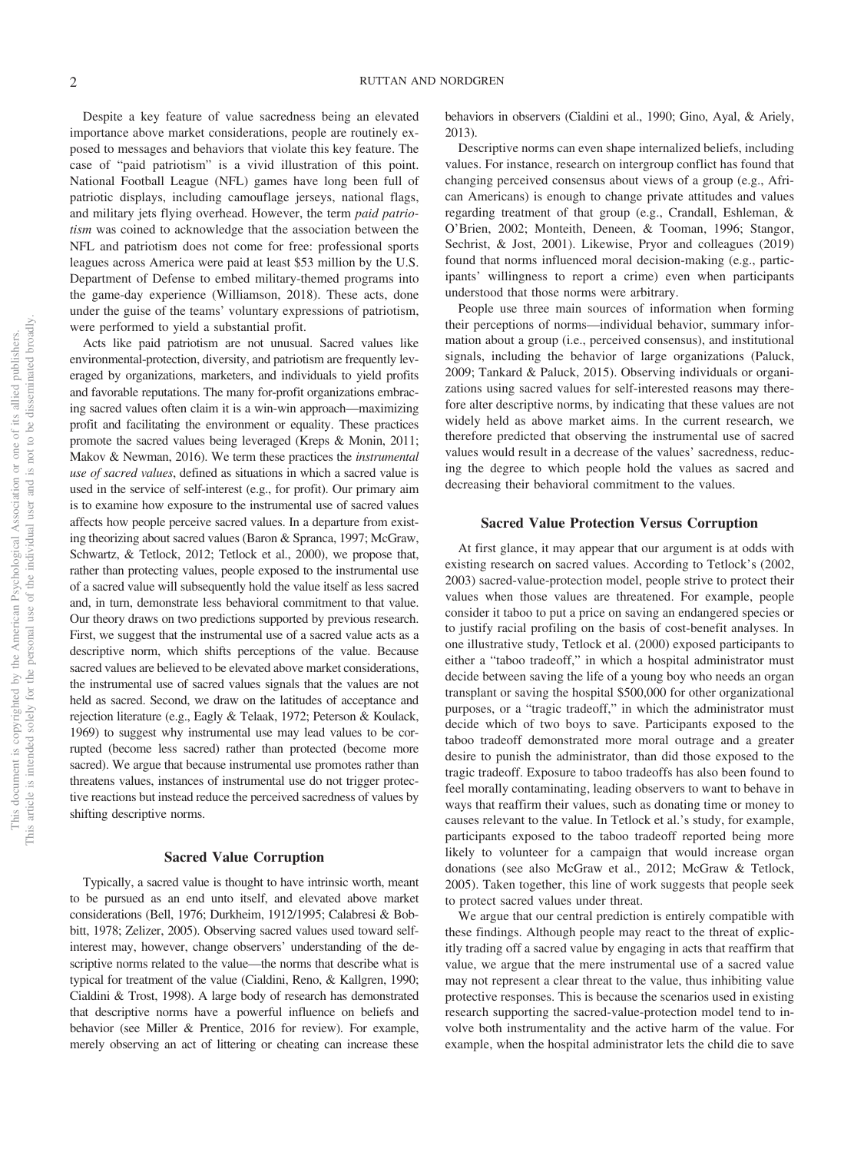Despite a key feature of value sacredness being an elevated importance above market considerations, people are routinely exposed to messages and behaviors that violate this key feature. The case of "paid patriotism" is a vivid illustration of this point. National Football League (NFL) games have long been full of patriotic displays, including camouflage jerseys, national flags, and military jets flying overhead. However, the term *paid patriotism* was coined to acknowledge that the association between the NFL and patriotism does not come for free: professional sports leagues across America were paid at least \$53 million by the U.S. Department of Defense to embed military-themed programs into the game-day experience (Williamson, 2018). These acts, done under the guise of the teams' voluntary expressions of patriotism, were performed to yield a substantial profit.

Acts like paid patriotism are not unusual. Sacred values like environmental-protection, diversity, and patriotism are frequently leveraged by organizations, marketers, and individuals to yield profits and favorable reputations. The many for-profit organizations embracing sacred values often claim it is a win-win approach—maximizing profit and facilitating the environment or equality. These practices promote the sacred values being leveraged (Kreps & Monin, 2011; Makov & Newman, 2016). We term these practices the *instrumental use of sacred values*, defined as situations in which a sacred value is used in the service of self-interest (e.g., for profit). Our primary aim is to examine how exposure to the instrumental use of sacred values affects how people perceive sacred values. In a departure from existing theorizing about sacred values (Baron & Spranca, 1997; McGraw, Schwartz, & Tetlock, 2012; Tetlock et al., 2000), we propose that, rather than protecting values, people exposed to the instrumental use of a sacred value will subsequently hold the value itself as less sacred and, in turn, demonstrate less behavioral commitment to that value. Our theory draws on two predictions supported by previous research. First, we suggest that the instrumental use of a sacred value acts as a descriptive norm, which shifts perceptions of the value. Because sacred values are believed to be elevated above market considerations, the instrumental use of sacred values signals that the values are not held as sacred. Second, we draw on the latitudes of acceptance and rejection literature (e.g., Eagly & Telaak, 1972; Peterson & Koulack, 1969) to suggest why instrumental use may lead values to be corrupted (become less sacred) rather than protected (become more sacred). We argue that because instrumental use promotes rather than threatens values, instances of instrumental use do not trigger protective reactions but instead reduce the perceived sacredness of values by shifting descriptive norms.

#### **Sacred Value Corruption**

Typically, a sacred value is thought to have intrinsic worth, meant to be pursued as an end unto itself, and elevated above market considerations (Bell, 1976; Durkheim, 1912/1995; Calabresi & Bobbitt, 1978; Zelizer, 2005). Observing sacred values used toward selfinterest may, however, change observers' understanding of the descriptive norms related to the value—the norms that describe what is typical for treatment of the value (Cialdini, Reno, & Kallgren, 1990; Cialdini & Trost, 1998). A large body of research has demonstrated that descriptive norms have a powerful influence on beliefs and behavior (see Miller & Prentice, 2016 for review). For example, merely observing an act of littering or cheating can increase these

behaviors in observers (Cialdini et al., 1990; Gino, Ayal, & Ariely, 2013).

Descriptive norms can even shape internalized beliefs, including values. For instance, research on intergroup conflict has found that changing perceived consensus about views of a group (e.g., African Americans) is enough to change private attitudes and values regarding treatment of that group (e.g., Crandall, Eshleman, & O'Brien, 2002; Monteith, Deneen, & Tooman, 1996; Stangor, Sechrist, & Jost, 2001). Likewise, Pryor and colleagues (2019) found that norms influenced moral decision-making (e.g., participants' willingness to report a crime) even when participants understood that those norms were arbitrary.

People use three main sources of information when forming their perceptions of norms—individual behavior, summary information about a group (i.e., perceived consensus), and institutional signals, including the behavior of large organizations (Paluck, 2009; Tankard & Paluck, 2015). Observing individuals or organizations using sacred values for self-interested reasons may therefore alter descriptive norms, by indicating that these values are not widely held as above market aims. In the current research, we therefore predicted that observing the instrumental use of sacred values would result in a decrease of the values' sacredness, reducing the degree to which people hold the values as sacred and decreasing their behavioral commitment to the values.

#### **Sacred Value Protection Versus Corruption**

At first glance, it may appear that our argument is at odds with existing research on sacred values. According to Tetlock's (2002, 2003) sacred-value-protection model, people strive to protect their values when those values are threatened. For example, people consider it taboo to put a price on saving an endangered species or to justify racial profiling on the basis of cost-benefit analyses. In one illustrative study, Tetlock et al. (2000) exposed participants to either a "taboo tradeoff," in which a hospital administrator must decide between saving the life of a young boy who needs an organ transplant or saving the hospital \$500,000 for other organizational purposes, or a "tragic tradeoff," in which the administrator must decide which of two boys to save. Participants exposed to the taboo tradeoff demonstrated more moral outrage and a greater desire to punish the administrator, than did those exposed to the tragic tradeoff. Exposure to taboo tradeoffs has also been found to feel morally contaminating, leading observers to want to behave in ways that reaffirm their values, such as donating time or money to causes relevant to the value. In Tetlock et al.'s study, for example, participants exposed to the taboo tradeoff reported being more likely to volunteer for a campaign that would increase organ donations (see also McGraw et al., 2012; McGraw & Tetlock, 2005). Taken together, this line of work suggests that people seek to protect sacred values under threat.

We argue that our central prediction is entirely compatible with these findings. Although people may react to the threat of explicitly trading off a sacred value by engaging in acts that reaffirm that value, we argue that the mere instrumental use of a sacred value may not represent a clear threat to the value, thus inhibiting value protective responses. This is because the scenarios used in existing research supporting the sacred-value-protection model tend to involve both instrumentality and the active harm of the value. For example, when the hospital administrator lets the child die to save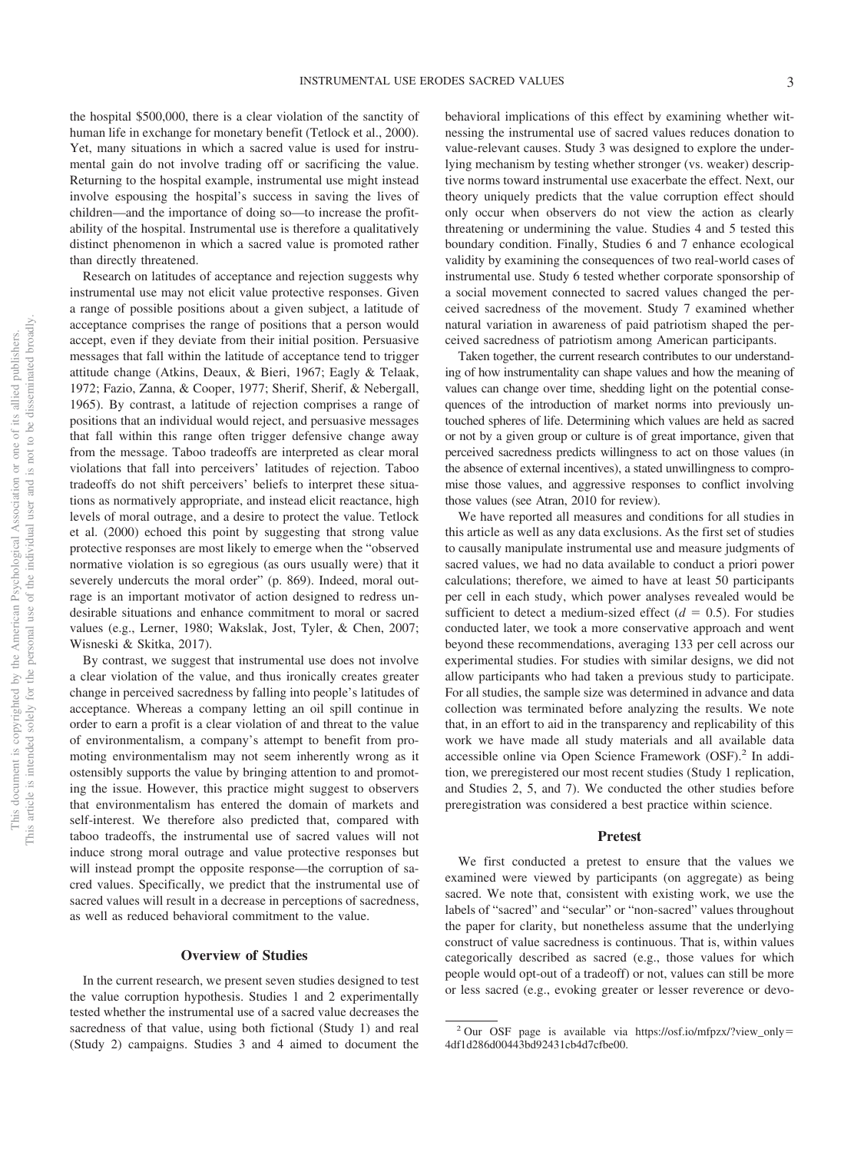the hospital \$500,000, there is a clear violation of the sanctity of human life in exchange for monetary benefit (Tetlock et al., 2000). Yet, many situations in which a sacred value is used for instrumental gain do not involve trading off or sacrificing the value. Returning to the hospital example, instrumental use might instead involve espousing the hospital's success in saving the lives of children—and the importance of doing so—to increase the profitability of the hospital. Instrumental use is therefore a qualitatively distinct phenomenon in which a sacred value is promoted rather than directly threatened.

Research on latitudes of acceptance and rejection suggests why instrumental use may not elicit value protective responses. Given a range of possible positions about a given subject, a latitude of acceptance comprises the range of positions that a person would accept, even if they deviate from their initial position. Persuasive messages that fall within the latitude of acceptance tend to trigger attitude change (Atkins, Deaux, & Bieri, 1967; Eagly & Telaak, 1972; Fazio, Zanna, & Cooper, 1977; Sherif, Sherif, & Nebergall, 1965). By contrast, a latitude of rejection comprises a range of positions that an individual would reject, and persuasive messages that fall within this range often trigger defensive change away from the message. Taboo tradeoffs are interpreted as clear moral violations that fall into perceivers' latitudes of rejection. Taboo tradeoffs do not shift perceivers' beliefs to interpret these situations as normatively appropriate, and instead elicit reactance, high levels of moral outrage, and a desire to protect the value. Tetlock et al. (2000) echoed this point by suggesting that strong value protective responses are most likely to emerge when the "observed normative violation is so egregious (as ours usually were) that it severely undercuts the moral order" (p. 869). Indeed, moral outrage is an important motivator of action designed to redress undesirable situations and enhance commitment to moral or sacred values (e.g., Lerner, 1980; Wakslak, Jost, Tyler, & Chen, 2007; Wisneski & Skitka, 2017).

By contrast, we suggest that instrumental use does not involve a clear violation of the value, and thus ironically creates greater change in perceived sacredness by falling into people's latitudes of acceptance. Whereas a company letting an oil spill continue in order to earn a profit is a clear violation of and threat to the value of environmentalism, a company's attempt to benefit from promoting environmentalism may not seem inherently wrong as it ostensibly supports the value by bringing attention to and promoting the issue. However, this practice might suggest to observers that environmentalism has entered the domain of markets and self-interest. We therefore also predicted that, compared with taboo tradeoffs, the instrumental use of sacred values will not induce strong moral outrage and value protective responses but will instead prompt the opposite response—the corruption of sacred values. Specifically, we predict that the instrumental use of sacred values will result in a decrease in perceptions of sacredness, as well as reduced behavioral commitment to the value.

#### **Overview of Studies**

In the current research, we present seven studies designed to test the value corruption hypothesis. Studies 1 and 2 experimentally tested whether the instrumental use of a sacred value decreases the sacredness of that value, using both fictional (Study 1) and real (Study 2) campaigns. Studies 3 and 4 aimed to document the behavioral implications of this effect by examining whether witnessing the instrumental use of sacred values reduces donation to value-relevant causes. Study 3 was designed to explore the underlying mechanism by testing whether stronger (vs. weaker) descriptive norms toward instrumental use exacerbate the effect. Next, our theory uniquely predicts that the value corruption effect should only occur when observers do not view the action as clearly threatening or undermining the value. Studies 4 and 5 tested this boundary condition. Finally, Studies 6 and 7 enhance ecological validity by examining the consequences of two real-world cases of instrumental use. Study 6 tested whether corporate sponsorship of a social movement connected to sacred values changed the perceived sacredness of the movement. Study 7 examined whether natural variation in awareness of paid patriotism shaped the perceived sacredness of patriotism among American participants.

Taken together, the current research contributes to our understanding of how instrumentality can shape values and how the meaning of values can change over time, shedding light on the potential consequences of the introduction of market norms into previously untouched spheres of life. Determining which values are held as sacred or not by a given group or culture is of great importance, given that perceived sacredness predicts willingness to act on those values (in the absence of external incentives), a stated unwillingness to compromise those values, and aggressive responses to conflict involving those values (see Atran, 2010 for review).

We have reported all measures and conditions for all studies in this article as well as any data exclusions. As the first set of studies to causally manipulate instrumental use and measure judgments of sacred values, we had no data available to conduct a priori power calculations; therefore, we aimed to have at least 50 participants per cell in each study, which power analyses revealed would be sufficient to detect a medium-sized effect  $(d = 0.5)$ . For studies conducted later, we took a more conservative approach and went beyond these recommendations, averaging 133 per cell across our experimental studies. For studies with similar designs, we did not allow participants who had taken a previous study to participate. For all studies, the sample size was determined in advance and data collection was terminated before analyzing the results. We note that, in an effort to aid in the transparency and replicability of this work we have made all study materials and all available data accessible online via Open Science Framework (OSF).<sup>2</sup> In addition, we preregistered our most recent studies (Study 1 replication, and Studies 2, 5, and 7). We conducted the other studies before preregistration was considered a best practice within science.

#### **Pretest**

We first conducted a pretest to ensure that the values we examined were viewed by participants (on aggregate) as being sacred. We note that, consistent with existing work, we use the labels of "sacred" and "secular" or "non-sacred" values throughout the paper for clarity, but nonetheless assume that the underlying construct of value sacredness is continuous. That is, within values categorically described as sacred (e.g., those values for which people would opt-out of a tradeoff) or not, values can still be more or less sacred (e.g., evoking greater or lesser reverence or devo-

<sup>&</sup>lt;sup>2</sup> Our OSF page is available via https://osf.io/mfpzx/?view\_only= 4df1d286d00443bd92431cb4d7cfbe00.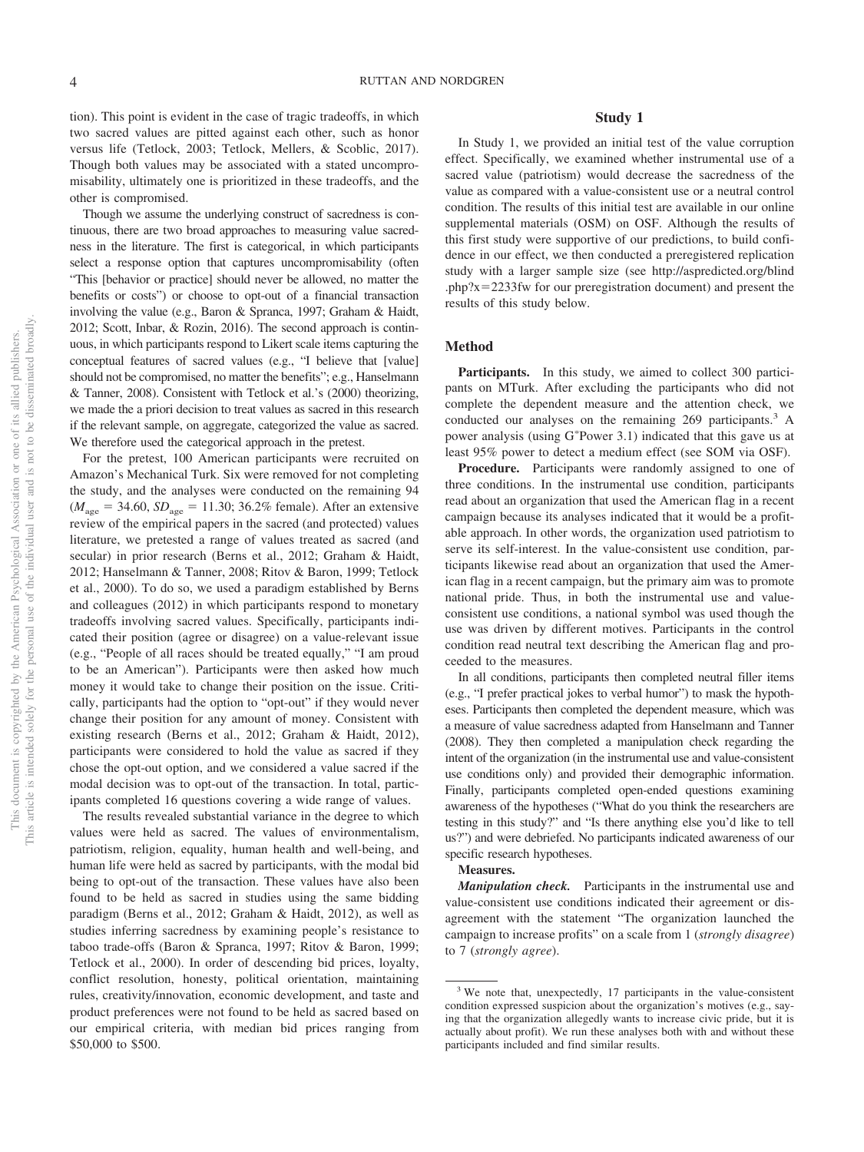tion). This point is evident in the case of tragic tradeoffs, in which two sacred values are pitted against each other, such as honor versus life (Tetlock, 2003; Tetlock, Mellers, & Scoblic, 2017). Though both values may be associated with a stated uncompromisability, ultimately one is prioritized in these tradeoffs, and the other is compromised.

Though we assume the underlying construct of sacredness is continuous, there are two broad approaches to measuring value sacredness in the literature. The first is categorical, in which participants select a response option that captures uncompromisability (often "This [behavior or practice] should never be allowed, no matter the benefits or costs") or choose to opt-out of a financial transaction involving the value (e.g., Baron & Spranca, 1997; Graham & Haidt, 2012; Scott, Inbar, & Rozin, 2016). The second approach is continuous, in which participants respond to Likert scale items capturing the conceptual features of sacred values (e.g., "I believe that [value] should not be compromised, no matter the benefits"; e.g., Hanselmann & Tanner, 2008). Consistent with Tetlock et al.'s (2000) theorizing, we made the a priori decision to treat values as sacred in this research if the relevant sample, on aggregate, categorized the value as sacred. We therefore used the categorical approach in the pretest.

For the pretest, 100 American participants were recruited on Amazon's Mechanical Turk. Six were removed for not completing the study, and the analyses were conducted on the remaining 94  $(M_{\text{age}} = 34.60, SD_{\text{age}} = 11.30; 36.2\%$  female). After an extensive review of the empirical papers in the sacred (and protected) values literature, we pretested a range of values treated as sacred (and secular) in prior research (Berns et al., 2012; Graham & Haidt, 2012; Hanselmann & Tanner, 2008; Ritov & Baron, 1999; Tetlock et al., 2000). To do so, we used a paradigm established by Berns and colleagues (2012) in which participants respond to monetary tradeoffs involving sacred values. Specifically, participants indicated their position (agree or disagree) on a value-relevant issue (e.g., "People of all races should be treated equally," "I am proud to be an American"). Participants were then asked how much money it would take to change their position on the issue. Critically, participants had the option to "opt-out" if they would never change their position for any amount of money. Consistent with existing research (Berns et al., 2012; Graham & Haidt, 2012), participants were considered to hold the value as sacred if they chose the opt-out option, and we considered a value sacred if the modal decision was to opt-out of the transaction. In total, participants completed 16 questions covering a wide range of values.

The results revealed substantial variance in the degree to which values were held as sacred. The values of environmentalism, patriotism, religion, equality, human health and well-being, and human life were held as sacred by participants, with the modal bid being to opt-out of the transaction. These values have also been found to be held as sacred in studies using the same bidding paradigm (Berns et al., 2012; Graham & Haidt, 2012), as well as studies inferring sacredness by examining people's resistance to taboo trade-offs (Baron & Spranca, 1997; Ritov & Baron, 1999; Tetlock et al., 2000). In order of descending bid prices, loyalty, conflict resolution, honesty, political orientation, maintaining rules, creativity/innovation, economic development, and taste and product preferences were not found to be held as sacred based on our empirical criteria, with median bid prices ranging from \$50,000 to \$500.

## **Study 1**

In Study 1, we provided an initial test of the value corruption effect. Specifically, we examined whether instrumental use of a sacred value (patriotism) would decrease the sacredness of the value as compared with a value-consistent use or a neutral control condition. The results of this initial test are available in our online supplemental materials (OSM) on OSF. Although the results of this first study were supportive of our predictions, to build confidence in our effect, we then conducted a preregistered replication study with a larger sample size (see http://aspredicted.org/blind .php?x-2233fw for our preregistration document) and present the results of this study below.

### **Method**

Participants. In this study, we aimed to collect 300 participants on MTurk. After excluding the participants who did not complete the dependent measure and the attention check, we conducted our analyses on the remaining 269 participants.<sup>3</sup> A power analysis (using  $G^*$ Power 3.1) indicated that this gave us at least 95% power to detect a medium effect (see SOM via OSF).

**Procedure.** Participants were randomly assigned to one of three conditions. In the instrumental use condition, participants read about an organization that used the American flag in a recent campaign because its analyses indicated that it would be a profitable approach. In other words, the organization used patriotism to serve its self-interest. In the value-consistent use condition, participants likewise read about an organization that used the American flag in a recent campaign, but the primary aim was to promote national pride. Thus, in both the instrumental use and valueconsistent use conditions, a national symbol was used though the use was driven by different motives. Participants in the control condition read neutral text describing the American flag and proceeded to the measures.

In all conditions, participants then completed neutral filler items (e.g., "I prefer practical jokes to verbal humor") to mask the hypotheses. Participants then completed the dependent measure, which was a measure of value sacredness adapted from Hanselmann and Tanner (2008). They then completed a manipulation check regarding the intent of the organization (in the instrumental use and value-consistent use conditions only) and provided their demographic information. Finally, participants completed open-ended questions examining awareness of the hypotheses ("What do you think the researchers are testing in this study?" and "Is there anything else you'd like to tell us?") and were debriefed. No participants indicated awareness of our specific research hypotheses.

#### **Measures.**

*Manipulation check.* Participants in the instrumental use and value-consistent use conditions indicated their agreement or disagreement with the statement "The organization launched the campaign to increase profits" on a scale from 1 (*strongly disagree*) to 7 (*strongly agree*).

<sup>&</sup>lt;sup>3</sup> We note that, unexpectedly, 17 participants in the value-consistent condition expressed suspicion about the organization's motives (e.g., saying that the organization allegedly wants to increase civic pride, but it is actually about profit). We run these analyses both with and without these participants included and find similar results.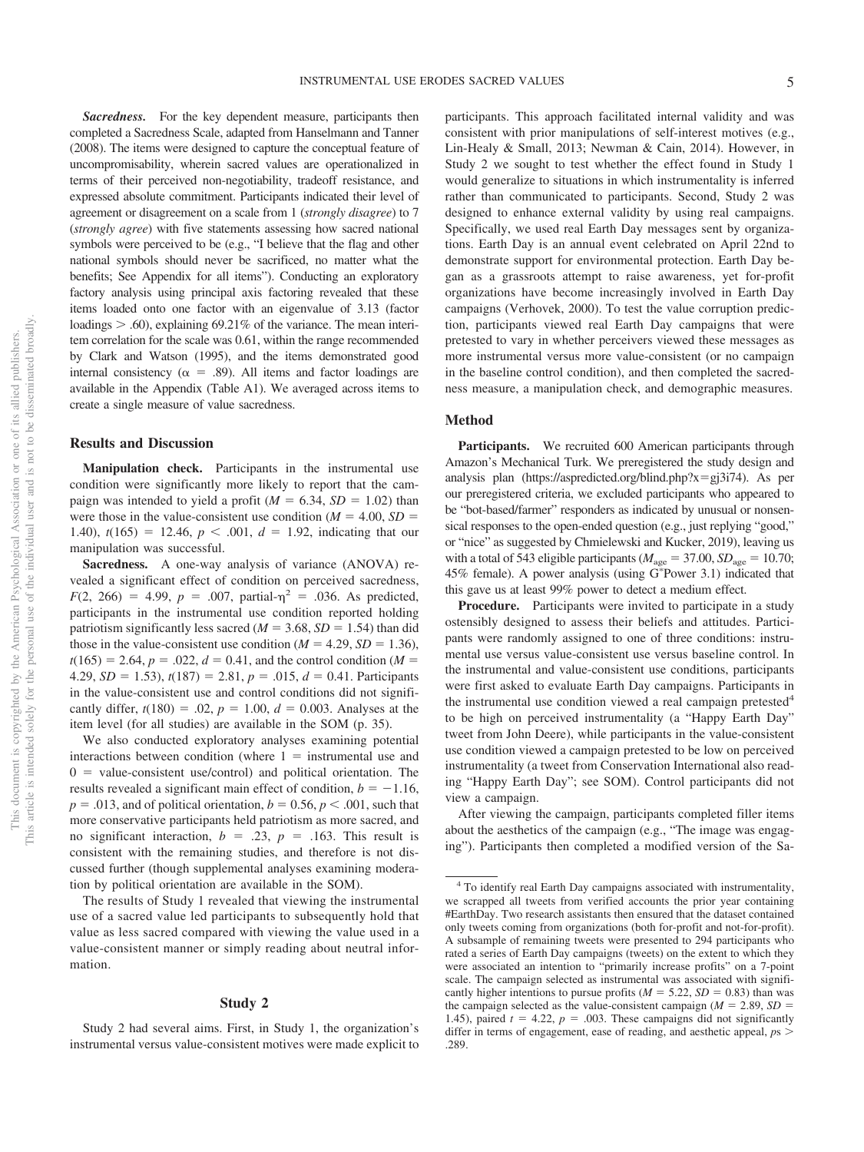*Sacredness.* For the key dependent measure, participants then completed a Sacredness Scale, adapted from Hanselmann and Tanner (2008). The items were designed to capture the conceptual feature of uncompromisability, wherein sacred values are operationalized in terms of their perceived non-negotiability, tradeoff resistance, and expressed absolute commitment. Participants indicated their level of agreement or disagreement on a scale from 1 (*strongly disagree*) to 7 (*strongly agree*) with five statements assessing how sacred national symbols were perceived to be (e.g., "I believe that the flag and other national symbols should never be sacrificed, no matter what the benefits; See Appendix for all items"). Conducting an exploratory factory analysis using principal axis factoring revealed that these items loaded onto one factor with an eigenvalue of 3.13 (factor loadings  $> 0.60$ , explaining 69.21% of the variance. The mean interitem correlation for the scale was 0.61, within the range recommended by Clark and Watson (1995), and the items demonstrated good internal consistency ( $\alpha = .89$ ). All items and factor loadings are available in the Appendix (Table A1). We averaged across items to create a single measure of value sacredness.

#### **Results and Discussion**

**Manipulation check.** Participants in the instrumental use condition were significantly more likely to report that the campaign was intended to yield a profit ( $M = 6.34$ ,  $SD = 1.02$ ) than were those in the value-consistent use condition  $(M = 4.00, SD =$ 1.40),  $t(165) = 12.46$ ,  $p < .001$ ,  $d = 1.92$ , indicating that our manipulation was successful.

Sacredness. A one-way analysis of variance (ANOVA) revealed a significant effect of condition on perceived sacredness,  $F(2, 266) = 4.99$ ,  $p = .007$ , partial- $\eta^2 = .036$ . As predicted, participants in the instrumental use condition reported holding patriotism significantly less sacred ( $M = 3.68$ ,  $SD = 1.54$ ) than did those in the value-consistent use condition ( $M = 4.29$ ,  $SD = 1.36$ ),  $t(165) = 2.64, p = .022, d = 0.41$ , and the control condition (*M* =  $4.29, SD = 1.53$ ,  $t(187) = 2.81, p = .015, d = 0.41$ . Participants in the value-consistent use and control conditions did not significantly differ,  $t(180) = .02$ ,  $p = 1.00$ ,  $d = 0.003$ . Analyses at the item level (for all studies) are available in the SOM (p. 35).

We also conducted exploratory analyses examining potential interactions between condition (where  $1 =$  instrumental use and  $0 =$  value-consistent use/control) and political orientation. The results revealed a significant main effect of condition,  $b = -1.16$ ,  $p = 0.013$ , and of political orientation,  $b = 0.56$ ,  $p < 0.01$ , such that more conservative participants held patriotism as more sacred, and no significant interaction,  $b = .23$ ,  $p = .163$ . This result is consistent with the remaining studies, and therefore is not discussed further (though supplemental analyses examining moderation by political orientation are available in the SOM).

The results of Study 1 revealed that viewing the instrumental use of a sacred value led participants to subsequently hold that value as less sacred compared with viewing the value used in a value-consistent manner or simply reading about neutral information.

#### **Study 2**

Study 2 had several aims. First, in Study 1, the organization's instrumental versus value-consistent motives were made explicit to participants. This approach facilitated internal validity and was consistent with prior manipulations of self-interest motives (e.g., Lin-Healy & Small, 2013; Newman & Cain, 2014). However, in Study 2 we sought to test whether the effect found in Study 1 would generalize to situations in which instrumentality is inferred rather than communicated to participants. Second, Study 2 was designed to enhance external validity by using real campaigns. Specifically, we used real Earth Day messages sent by organizations. Earth Day is an annual event celebrated on April 22nd to demonstrate support for environmental protection. Earth Day began as a grassroots attempt to raise awareness, yet for-profit organizations have become increasingly involved in Earth Day campaigns (Verhovek, 2000). To test the value corruption prediction, participants viewed real Earth Day campaigns that were pretested to vary in whether perceivers viewed these messages as more instrumental versus more value-consistent (or no campaign in the baseline control condition), and then completed the sacredness measure, a manipulation check, and demographic measures.

#### **Method**

Participants. We recruited 600 American participants through Amazon's Mechanical Turk. We preregistered the study design and analysis plan (https://aspredicted.org/blind.php?x-gj3i74). As per our preregistered criteria, we excluded participants who appeared to be "bot-based/farmer" responders as indicated by unusual or nonsensical responses to the open-ended question (e.g., just replying "good," or "nice" as suggested by Chmielewski and Kucker, 2019), leaving us with a total of 543 eligible participants ( $M_{\text{age}} = 37.00$ ,  $SD_{\text{age}} = 10.70$ ;  $45\%$  female). A power analysis (using  $G^*$ Power 3.1) indicated that this gave us at least 99% power to detect a medium effect.

**Procedure.** Participants were invited to participate in a study ostensibly designed to assess their beliefs and attitudes. Participants were randomly assigned to one of three conditions: instrumental use versus value-consistent use versus baseline control. In the instrumental and value-consistent use conditions, participants were first asked to evaluate Earth Day campaigns. Participants in the instrumental use condition viewed a real campaign pretested<sup>4</sup> to be high on perceived instrumentality (a "Happy Earth Day" tweet from John Deere), while participants in the value-consistent use condition viewed a campaign pretested to be low on perceived instrumentality (a tweet from Conservation International also reading "Happy Earth Day"; see SOM). Control participants did not view a campaign.

After viewing the campaign, participants completed filler items about the aesthetics of the campaign (e.g., "The image was engaging"). Participants then completed a modified version of the Sa-

<sup>4</sup> To identify real Earth Day campaigns associated with instrumentality, we scrapped all tweets from verified accounts the prior year containing #EarthDay. Two research assistants then ensured that the dataset contained only tweets coming from organizations (both for-profit and not-for-profit). A subsample of remaining tweets were presented to 294 participants who rated a series of Earth Day campaigns (tweets) on the extent to which they were associated an intention to "primarily increase profits" on a 7-point scale. The campaign selected as instrumental was associated with significantly higher intentions to pursue profits  $(M = 5.22, SD = 0.83)$  than was the campaign selected as the value-consistent campaign  $(M = 2.89, SD =$ 1.45), paired  $t = 4.22$ ,  $p = .003$ . These campaigns did not significantly differ in terms of engagement, ease of reading, and aesthetic appeal, *p*s .289.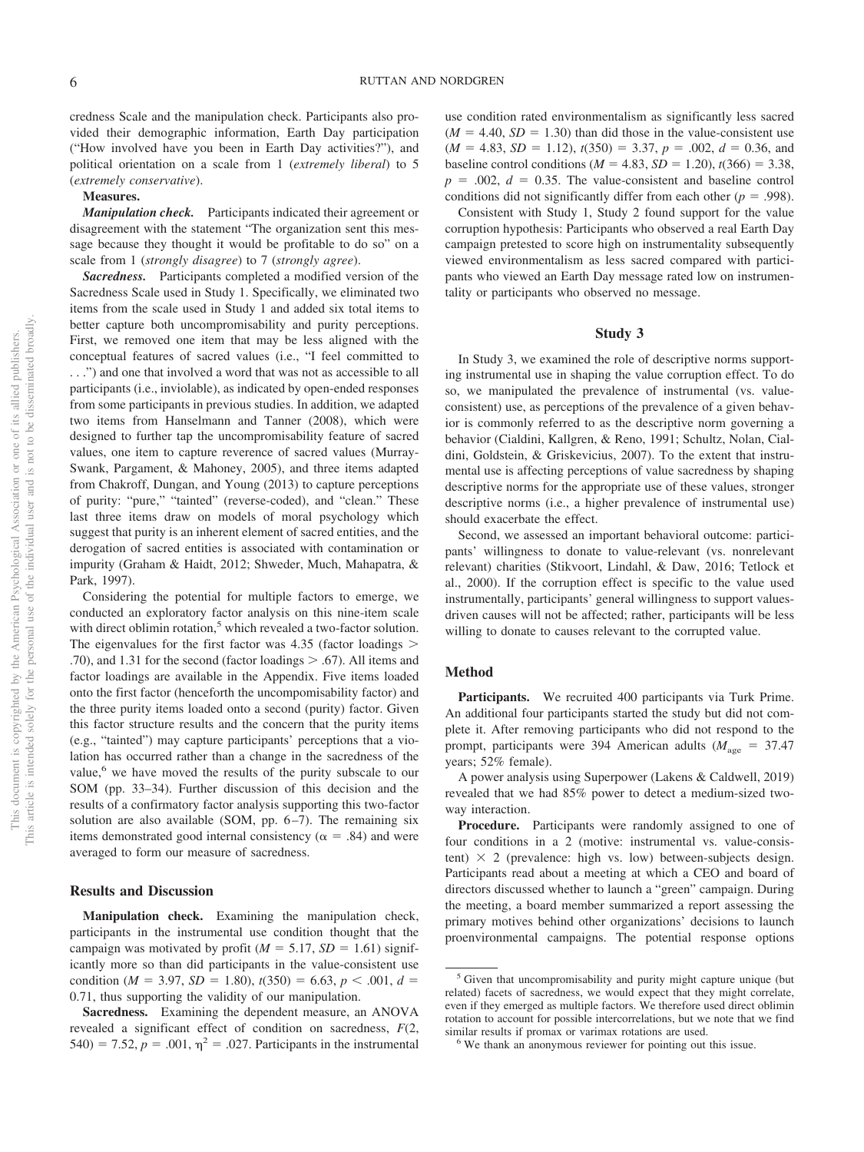credness Scale and the manipulation check. Participants also provided their demographic information, Earth Day participation ("How involved have you been in Earth Day activities?"), and political orientation on a scale from 1 (*extremely liberal*) to 5 (*extremely conservative*).

#### **Measures.**

*Manipulation check.* Participants indicated their agreement or disagreement with the statement "The organization sent this message because they thought it would be profitable to do so" on a scale from 1 (*strongly disagree*) to 7 (*strongly agree*).

*Sacredness.* Participants completed a modified version of the Sacredness Scale used in Study 1. Specifically, we eliminated two items from the scale used in Study 1 and added six total items to better capture both uncompromisability and purity perceptions. First, we removed one item that may be less aligned with the conceptual features of sacred values (i.e., "I feel committed to . . .") and one that involved a word that was not as accessible to all participants (i.e., inviolable), as indicated by open-ended responses from some participants in previous studies. In addition, we adapted two items from Hanselmann and Tanner (2008), which were designed to further tap the uncompromisability feature of sacred values, one item to capture reverence of sacred values (Murray-Swank, Pargament, & Mahoney, 2005), and three items adapted from Chakroff, Dungan, and Young (2013) to capture perceptions of purity: "pure," "tainted" (reverse-coded), and "clean." These last three items draw on models of moral psychology which suggest that purity is an inherent element of sacred entities, and the derogation of sacred entities is associated with contamination or impurity (Graham & Haidt, 2012; Shweder, Much, Mahapatra, & Park, 1997).

Considering the potential for multiple factors to emerge, we conducted an exploratory factor analysis on this nine-item scale with direct oblimin rotation, $5$  which revealed a two-factor solution. The eigenvalues for the first factor was  $4.35$  (factor loadings  $>$ .70), and 1.31 for the second (factor loadings  $>$  .67). All items and factor loadings are available in the Appendix. Five items loaded onto the first factor (henceforth the uncompomisability factor) and the three purity items loaded onto a second (purity) factor. Given this factor structure results and the concern that the purity items (e.g., "tainted") may capture participants' perceptions that a violation has occurred rather than a change in the sacredness of the value,<sup>6</sup> we have moved the results of the purity subscale to our SOM (pp. 33–34). Further discussion of this decision and the results of a confirmatory factor analysis supporting this two-factor solution are also available (SOM, pp. 6–7). The remaining six items demonstrated good internal consistency ( $\alpha = .84$ ) and were averaged to form our measure of sacredness.

## **Results and Discussion**

**Manipulation check.** Examining the manipulation check, participants in the instrumental use condition thought that the campaign was motivated by profit ( $M = 5.17$ ,  $SD = 1.61$ ) significantly more so than did participants in the value-consistent use condition ( $M = 3.97$ ,  $SD = 1.80$ ),  $t(350) = 6.63$ ,  $p < .001$ ,  $d =$ 0.71, thus supporting the validity of our manipulation.

**Sacredness.** Examining the dependent measure, an ANOVA revealed a significant effect of condition on sacredness, *F*(2, 540) = 7.52,  $p = .001$ ,  $\eta^2 = .027$ . Participants in the instrumental use condition rated environmentalism as significantly less sacred  $(M = 4.40, SD = 1.30)$  than did those in the value-consistent use  $(M = 4.83, SD = 1.12), t(350) = 3.37, p = .002, d = 0.36, and$ baseline control conditions ( $M = 4.83$ ,  $SD = 1.20$ ),  $t(366) = 3.38$ ,  $p = 0.002$ ,  $d = 0.35$ . The value-consistent and baseline control conditions did not significantly differ from each other  $(p = .998)$ .

Consistent with Study 1, Study 2 found support for the value corruption hypothesis: Participants who observed a real Earth Day campaign pretested to score high on instrumentality subsequently viewed environmentalism as less sacred compared with participants who viewed an Earth Day message rated low on instrumentality or participants who observed no message.

#### **Study 3**

In Study 3, we examined the role of descriptive norms supporting instrumental use in shaping the value corruption effect. To do so, we manipulated the prevalence of instrumental (vs. valueconsistent) use, as perceptions of the prevalence of a given behavior is commonly referred to as the descriptive norm governing a behavior (Cialdini, Kallgren, & Reno, 1991; Schultz, Nolan, Cialdini, Goldstein, & Griskevicius, 2007). To the extent that instrumental use is affecting perceptions of value sacredness by shaping descriptive norms for the appropriate use of these values, stronger descriptive norms (i.e., a higher prevalence of instrumental use) should exacerbate the effect.

Second, we assessed an important behavioral outcome: participants' willingness to donate to value-relevant (vs. nonrelevant relevant) charities (Stikvoort, Lindahl, & Daw, 2016; Tetlock et al., 2000). If the corruption effect is specific to the value used instrumentally, participants' general willingness to support valuesdriven causes will not be affected; rather, participants will be less willing to donate to causes relevant to the corrupted value.

## **Method**

Participants. We recruited 400 participants via Turk Prime. An additional four participants started the study but did not complete it. After removing participants who did not respond to the prompt, participants were 394 American adults ( $M_{\text{age}} = 37.47$ ) years; 52% female).

A power analysis using Superpower (Lakens & Caldwell, 2019) revealed that we had 85% power to detect a medium-sized twoway interaction.

**Procedure.** Participants were randomly assigned to one of four conditions in a 2 (motive: instrumental vs. value-consistent)  $\times$  2 (prevalence: high vs. low) between-subjects design. Participants read about a meeting at which a CEO and board of directors discussed whether to launch a "green" campaign. During the meeting, a board member summarized a report assessing the primary motives behind other organizations' decisions to launch proenvironmental campaigns. The potential response options

<sup>&</sup>lt;sup>5</sup> Given that uncompromisability and purity might capture unique (but related) facets of sacredness, we would expect that they might correlate, even if they emerged as multiple factors. We therefore used direct oblimin rotation to account for possible intercorrelations, but we note that we find similar results if promax or varimax rotations are used.

<sup>&</sup>lt;sup>6</sup> We thank an anonymous reviewer for pointing out this issue.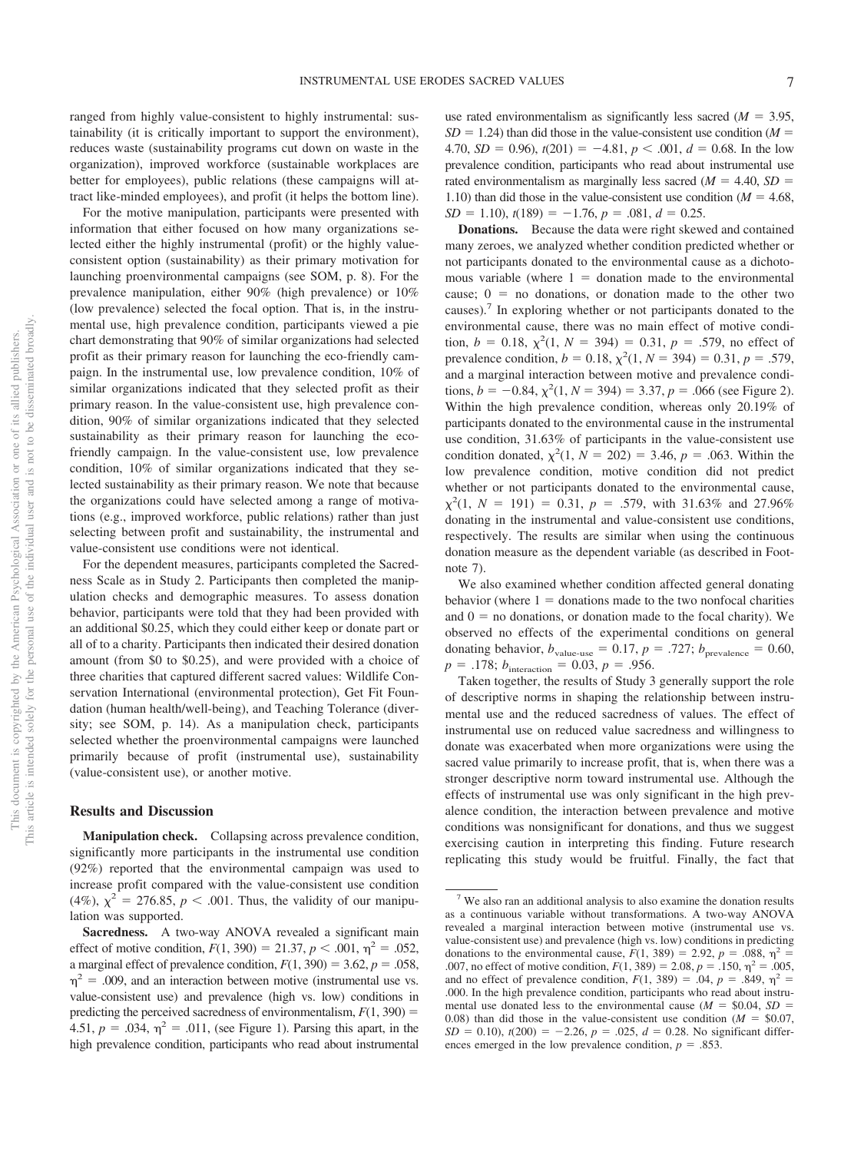ranged from highly value-consistent to highly instrumental: sustainability (it is critically important to support the environment), reduces waste (sustainability programs cut down on waste in the organization), improved workforce (sustainable workplaces are better for employees), public relations (these campaigns will attract like-minded employees), and profit (it helps the bottom line).

For the motive manipulation, participants were presented with information that either focused on how many organizations selected either the highly instrumental (profit) or the highly valueconsistent option (sustainability) as their primary motivation for launching proenvironmental campaigns (see SOM, p. 8). For the prevalence manipulation, either 90% (high prevalence) or 10% (low prevalence) selected the focal option. That is, in the instrumental use, high prevalence condition, participants viewed a pie chart demonstrating that 90% of similar organizations had selected profit as their primary reason for launching the eco-friendly campaign. In the instrumental use, low prevalence condition, 10% of similar organizations indicated that they selected profit as their primary reason. In the value-consistent use, high prevalence condition, 90% of similar organizations indicated that they selected sustainability as their primary reason for launching the ecofriendly campaign. In the value-consistent use, low prevalence condition, 10% of similar organizations indicated that they selected sustainability as their primary reason. We note that because the organizations could have selected among a range of motivations (e.g., improved workforce, public relations) rather than just selecting between profit and sustainability, the instrumental and value-consistent use conditions were not identical.

For the dependent measures, participants completed the Sacredness Scale as in Study 2. Participants then completed the manipulation checks and demographic measures. To assess donation behavior, participants were told that they had been provided with an additional \$0.25, which they could either keep or donate part or all of to a charity. Participants then indicated their desired donation amount (from \$0 to \$0.25), and were provided with a choice of three charities that captured different sacred values: Wildlife Conservation International (environmental protection), Get Fit Foundation (human health/well-being), and Teaching Tolerance (diversity; see SOM, p. 14). As a manipulation check, participants selected whether the proenvironmental campaigns were launched primarily because of profit (instrumental use), sustainability (value-consistent use), or another motive.

#### **Results and Discussion**

**Manipulation check.** Collapsing across prevalence condition, significantly more participants in the instrumental use condition (92%) reported that the environmental campaign was used to increase profit compared with the value-consistent use condition  $(4\%)$ ,  $\chi^2 = 276.85$ ,  $p < .001$ . Thus, the validity of our manipulation was supported.

use rated environmentalism as significantly less sacred  $(M = 3.95,$  $SD = 1.24$ ) than did those in the value-consistent use condition ( $M =$ 4.70,  $SD = 0.96$ ,  $t(201) = -4.81$ ,  $p < .001$ ,  $d = 0.68$ . In the low prevalence condition, participants who read about instrumental use rated environmentalism as marginally less sacred  $(M = 4.40, SD =$ 1.10) than did those in the value-consistent use condition ( $M = 4.68$ ,  $SD = 1.10$ ,  $t(189) = -1.76$ ,  $p = .081$ ,  $d = 0.25$ .

**Donations.** Because the data were right skewed and contained many zeroes, we analyzed whether condition predicted whether or not participants donated to the environmental cause as a dichotomous variable (where  $1 =$  donation made to the environmental cause;  $0 =$  no donations, or donation made to the other two causes).<sup>7</sup> In exploring whether or not participants donated to the environmental cause, there was no main effect of motive condition,  $b = 0.18$ ,  $\chi^2(1, N = 394) = 0.31$ ,  $p = .579$ , no effect of prevalence condition,  $b = 0.18$ ,  $\chi^2(1, N = 394) = 0.31$ ,  $p = .579$ , and a marginal interaction between motive and prevalence conditions,  $b = -0.84$ ,  $\chi^2(1, N = 394) = 3.37$ ,  $p = .066$  (see Figure 2). Within the high prevalence condition, whereas only 20.19% of participants donated to the environmental cause in the instrumental use condition, 31.63% of participants in the value-consistent use condition donated,  $\chi^2(1, N = 202) = 3.46$ ,  $p = .063$ . Within the low prevalence condition, motive condition did not predict whether or not participants donated to the environmental cause,  $\chi^2(1, N = 191) = 0.31, p = .579$ , with 31.63% and 27.96% donating in the instrumental and value-consistent use conditions, respectively. The results are similar when using the continuous donation measure as the dependent variable (as described in Footnote 7).

We also examined whether condition affected general donating behavior (where  $1 =$  donations made to the two nonfocal charities and  $0 =$  no donations, or donation made to the focal charity). We observed no effects of the experimental conditions on general donating behavior,  $b_{value\text{-use}} = 0.17$ ,  $p = .727$ ;  $b_{\text{prevalence}} = 0.60$ ,  $p = .178$ ;  $b_{\text{interaction}} = 0.03$ ,  $p = .956$ .

Taken together, the results of Study 3 generally support the role of descriptive norms in shaping the relationship between instrumental use and the reduced sacredness of values. The effect of instrumental use on reduced value sacredness and willingness to donate was exacerbated when more organizations were using the sacred value primarily to increase profit, that is, when there was a stronger descriptive norm toward instrumental use. Although the effects of instrumental use was only significant in the high prevalence condition, the interaction between prevalence and motive conditions was nonsignificant for donations, and thus we suggest exercising caution in interpreting this finding. Future research replicating this study would be fruitful. Finally, the fact that

Sacredness. A two-way ANOVA revealed a significant main effect of motive condition,  $F(1, 390) = 21.37$ ,  $p < .001$ ,  $\eta^2 = .052$ , a marginal effect of prevalence condition,  $F(1, 390) = 3.62$ ,  $p = .058$ ,  $\eta^2$  = .009, and an interaction between motive (instrumental use vs. value-consistent use) and prevalence (high vs. low) conditions in predicting the perceived sacredness of environmentalism,  $F(1, 390) =$ 4.51,  $p = .034$ ,  $\eta^2 = .011$ , (see Figure 1). Parsing this apart, in the high prevalence condition, participants who read about instrumental

 $7$  We also ran an additional analysis to also examine the donation results as a continuous variable without transformations. A two-way ANOVA revealed a marginal interaction between motive (instrumental use vs. value-consistent use) and prevalence (high vs. low) conditions in predicting donations to the environmental cause,  $F(1, 389) = 2.92$ ,  $p = .088$ ,  $\eta^2 =$ .007, no effect of motive condition,  $F(1, 389) = 2.08$ ,  $p = 150$ ,  $\eta^2 = .005$ , and no effect of prevalence condition,  $F(1, 389) = 0.04$ ,  $p = .849$ ,  $\eta^2 =$ .000. In the high prevalence condition, participants who read about instrumental use donated less to the environmental cause  $(M = $0.04, SD =$ 0.08) than did those in the value-consistent use condition  $(M = $0.07,$  $SD = 0.10$ ,  $t(200) = -2.26$ ,  $p = .025$ ,  $d = 0.28$ . No significant differences emerged in the low prevalence condition,  $p = .853$ .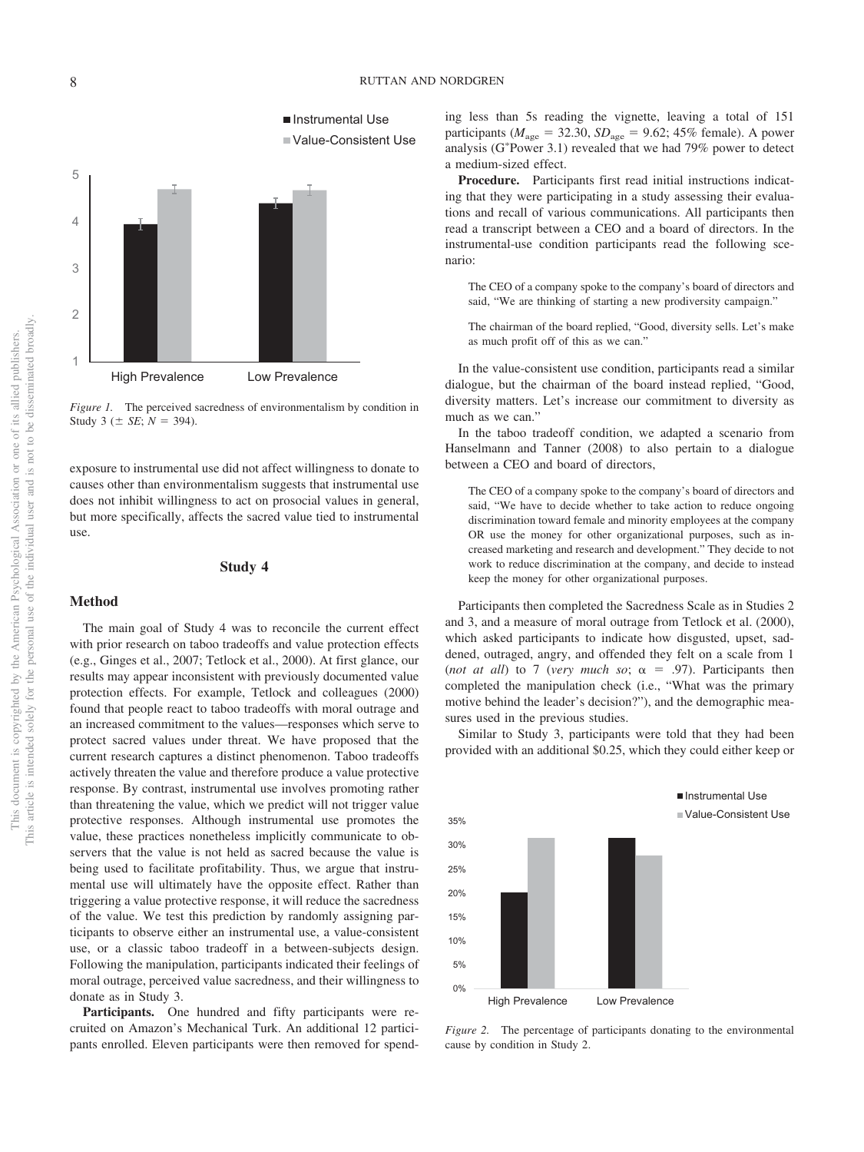**Instrumental Use** 



*Figure 1.* The perceived sacredness of environmentalism by condition in Study 3 ( $\pm$  *SE*; *N* = 394).

exposure to instrumental use did not affect willingness to donate to causes other than environmentalism suggests that instrumental use does not inhibit willingness to act on prosocial values in general, but more specifically, affects the sacred value tied to instrumental use.

#### **Study 4**

## **Method**

The main goal of Study 4 was to reconcile the current effect with prior research on taboo tradeoffs and value protection effects (e.g., Ginges et al., 2007; Tetlock et al., 2000). At first glance, our results may appear inconsistent with previously documented value protection effects. For example, Tetlock and colleagues (2000) found that people react to taboo tradeoffs with moral outrage and an increased commitment to the values—responses which serve to protect sacred values under threat. We have proposed that the current research captures a distinct phenomenon. Taboo tradeoffs actively threaten the value and therefore produce a value protective response. By contrast, instrumental use involves promoting rather than threatening the value, which we predict will not trigger value protective responses. Although instrumental use promotes the value, these practices nonetheless implicitly communicate to observers that the value is not held as sacred because the value is being used to facilitate profitability. Thus, we argue that instrumental use will ultimately have the opposite effect. Rather than triggering a value protective response, it will reduce the sacredness of the value. We test this prediction by randomly assigning participants to observe either an instrumental use, a value-consistent use, or a classic taboo tradeoff in a between-subjects design. Following the manipulation, participants indicated their feelings of moral outrage, perceived value sacredness, and their willingness to donate as in Study 3.

**Participants.** One hundred and fifty participants were recruited on Amazon's Mechanical Turk. An additional 12 participants enrolled. Eleven participants were then removed for spending less than 5s reading the vignette, leaving a total of 151 participants ( $M_{\text{age}} = 32.30$ ,  $SD_{\text{age}} = 9.62$ ; 45% female). A power analysis ( $G^*$ Power 3.1) revealed that we had 79% power to detect a medium-sized effect.

**Procedure.** Participants first read initial instructions indicating that they were participating in a study assessing their evaluations and recall of various communications. All participants then read a transcript between a CEO and a board of directors. In the instrumental-use condition participants read the following scenario:

The CEO of a company spoke to the company's board of directors and said, "We are thinking of starting a new prodiversity campaign."

The chairman of the board replied, "Good, diversity sells. Let's make as much profit off of this as we can."

In the value-consistent use condition, participants read a similar dialogue, but the chairman of the board instead replied, "Good, diversity matters. Let's increase our commitment to diversity as much as we can."

In the taboo tradeoff condition, we adapted a scenario from Hanselmann and Tanner (2008) to also pertain to a dialogue between a CEO and board of directors,

The CEO of a company spoke to the company's board of directors and said, "We have to decide whether to take action to reduce ongoing discrimination toward female and minority employees at the company OR use the money for other organizational purposes, such as increased marketing and research and development." They decide to not work to reduce discrimination at the company, and decide to instead keep the money for other organizational purposes.

Participants then completed the Sacredness Scale as in Studies 2 and 3, and a measure of moral outrage from Tetlock et al. (2000), which asked participants to indicate how disgusted, upset, saddened, outraged, angry, and offended they felt on a scale from 1 (*not at all*) to 7 (*very much so*;  $\alpha = .97$ ). Participants then completed the manipulation check (i.e., "What was the primary motive behind the leader's decision?"), and the demographic measures used in the previous studies.

Similar to Study 3, participants were told that they had been provided with an additional \$0.25, which they could either keep or



*Figure 2.* The percentage of participants donating to the environmental cause by condition in Study 2.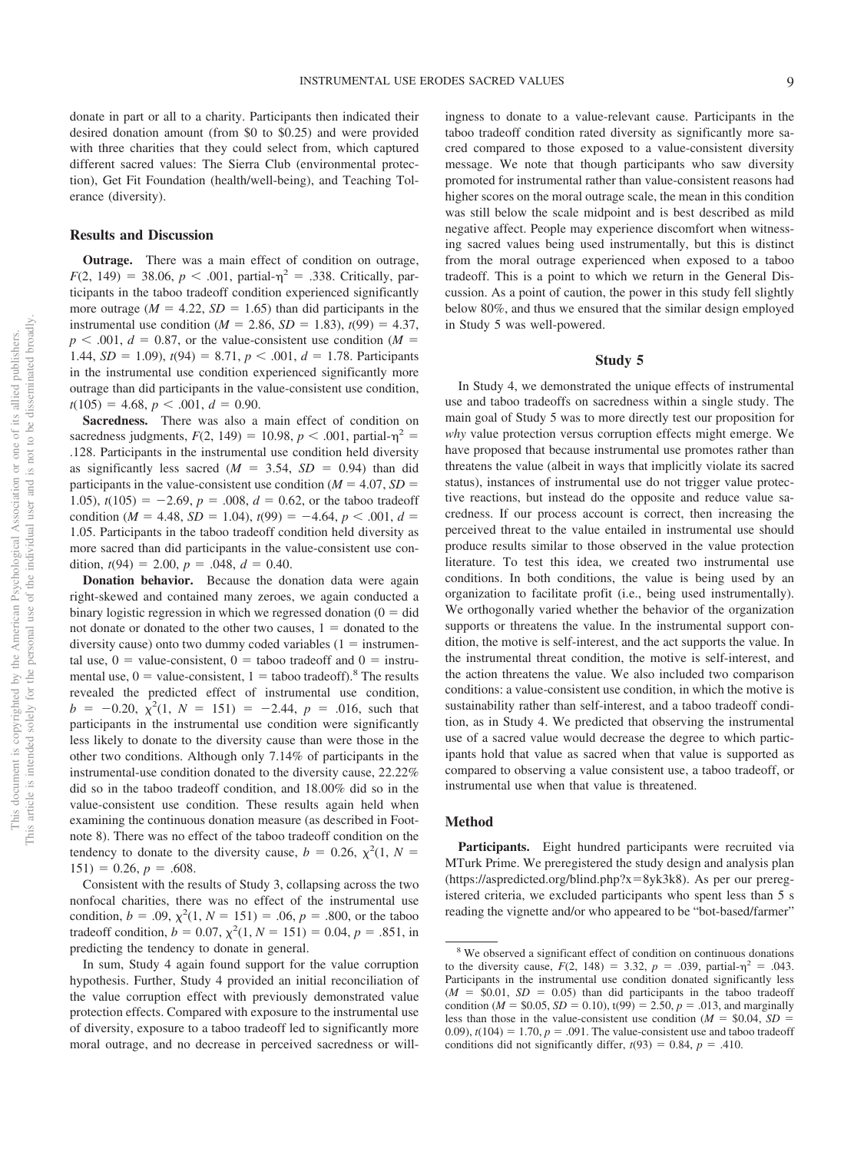donate in part or all to a charity. Participants then indicated their desired donation amount (from \$0 to \$0.25) and were provided with three charities that they could select from, which captured different sacred values: The Sierra Club (environmental protection), Get Fit Foundation (health/well-being), and Teaching Tolerance (diversity).

#### **Results and Discussion**

**Outrage.** There was a main effect of condition on outrage,  $F(2, 149) = 38.06, p < .001$ , partial- $\eta^2 = .338$ . Critically, participants in the taboo tradeoff condition experienced significantly more outrage  $(M = 4.22, SD = 1.65)$  than did participants in the instrumental use condition ( $M = 2.86$ ,  $SD = 1.83$ ),  $t(99) = 4.37$ ,  $p$  < .001,  $d$  = 0.87, or the value-consistent use condition ( $M$  = 1.44,  $SD = 1.09$ ),  $t(94) = 8.71$ ,  $p < .001$ ,  $d = 1.78$ . Participants in the instrumental use condition experienced significantly more outrage than did participants in the value-consistent use condition,  $t(105) = 4.68, p < .001, d = 0.90.$ 

Sacredness. There was also a main effect of condition on sacredness judgments,  $F(2, 149) = 10.98$ ,  $p < .001$ , partial- $\eta^2 =$ .128. Participants in the instrumental use condition held diversity as significantly less sacred  $(M = 3.54, SD = 0.94)$  than did participants in the value-consistent use condition  $(M = 4.07, SD =$ 1.05),  $t(105) = -2.69$ ,  $p = .008$ ,  $d = 0.62$ , or the taboo tradeoff condition ( $M = 4.48$ ,  $SD = 1.04$ ),  $t(99) = -4.64$ ,  $p < .001$ ,  $d =$ 1.05. Participants in the taboo tradeoff condition held diversity as more sacred than did participants in the value-consistent use condition,  $t(94) = 2.00$ ,  $p = .048$ ,  $d = 0.40$ .

**Donation behavior.** Because the donation data were again right-skewed and contained many zeroes, we again conducted a binary logistic regression in which we regressed donation  $(0 = did)$ not donate or donated to the other two causes,  $1 =$  donated to the diversity cause) onto two dummy coded variables  $(1 =$  instrumental use,  $0 =$  value-consistent,  $0 =$  taboo tradeoff and  $0 =$  instrumental use,  $0 =$  value-consistent,  $1 =$  taboo tradeoff).<sup>8</sup> The results revealed the predicted effect of instrumental use condition,  $b = -0.20, \ \chi^2(1, N = 151) = -2.44, \ p = .016, \text{ such that}$ participants in the instrumental use condition were significantly less likely to donate to the diversity cause than were those in the other two conditions. Although only 7.14% of participants in the instrumental-use condition donated to the diversity cause, 22.22% did so in the taboo tradeoff condition, and 18.00% did so in the value-consistent use condition. These results again held when examining the continuous donation measure (as described in Footnote 8). There was no effect of the taboo tradeoff condition on the tendency to donate to the diversity cause,  $b = 0.26$ ,  $\chi^2(1, N =$  $151$ ) = 0.26, *p* = .608.

Consistent with the results of Study 3, collapsing across the two nonfocal charities, there was no effect of the instrumental use condition,  $b = .09$ ,  $\chi^2(1, N = 151) = .06$ ,  $p = .800$ , or the taboo tradeoff condition,  $b = 0.07$ ,  $\chi^2(1, N = 151) = 0.04$ ,  $p = .851$ , in predicting the tendency to donate in general.

In sum, Study 4 again found support for the value corruption hypothesis. Further, Study 4 provided an initial reconciliation of the value corruption effect with previously demonstrated value protection effects. Compared with exposure to the instrumental use of diversity, exposure to a taboo tradeoff led to significantly more moral outrage, and no decrease in perceived sacredness or willingness to donate to a value-relevant cause. Participants in the taboo tradeoff condition rated diversity as significantly more sacred compared to those exposed to a value-consistent diversity message. We note that though participants who saw diversity promoted for instrumental rather than value-consistent reasons had higher scores on the moral outrage scale, the mean in this condition was still below the scale midpoint and is best described as mild negative affect. People may experience discomfort when witnessing sacred values being used instrumentally, but this is distinct from the moral outrage experienced when exposed to a taboo tradeoff. This is a point to which we return in the General Discussion. As a point of caution, the power in this study fell slightly below 80%, and thus we ensured that the similar design employed in Study 5 was well-powered.

#### **Study 5**

In Study 4, we demonstrated the unique effects of instrumental use and taboo tradeoffs on sacredness within a single study. The main goal of Study 5 was to more directly test our proposition for *why* value protection versus corruption effects might emerge. We have proposed that because instrumental use promotes rather than threatens the value (albeit in ways that implicitly violate its sacred status), instances of instrumental use do not trigger value protective reactions, but instead do the opposite and reduce value sacredness. If our process account is correct, then increasing the perceived threat to the value entailed in instrumental use should produce results similar to those observed in the value protection literature. To test this idea, we created two instrumental use conditions. In both conditions, the value is being used by an organization to facilitate profit (i.e., being used instrumentally). We orthogonally varied whether the behavior of the organization supports or threatens the value. In the instrumental support condition, the motive is self-interest, and the act supports the value. In the instrumental threat condition, the motive is self-interest, and the action threatens the value. We also included two comparison conditions: a value-consistent use condition, in which the motive is sustainability rather than self-interest, and a taboo tradeoff condition, as in Study 4. We predicted that observing the instrumental use of a sacred value would decrease the degree to which participants hold that value as sacred when that value is supported as compared to observing a value consistent use, a taboo tradeoff, or instrumental use when that value is threatened.

## **Method**

Participants. Eight hundred participants were recruited via MTurk Prime. We preregistered the study design and analysis plan (https://aspredicted.org/blind.php?x-8yk3k8). As per our preregistered criteria, we excluded participants who spent less than 5 s reading the vignette and/or who appeared to be "bot-based/farmer"

<sup>8</sup> We observed a significant effect of condition on continuous donations to the diversity cause,  $F(2, 148) = 3.32$ ,  $p = .039$ , partial- $\eta^2 = .043$ . Participants in the instrumental use condition donated significantly less  $(M = $0.01, SD = 0.05)$  than did participants in the taboo tradeoff condition ( $M = $0.05$ ,  $SD = 0.10$ ),  $t(99) = 2.50$ ,  $p = .013$ , and marginally less than those in the value-consistent use condition  $(M = $0.04, SD =$ 0.09),  $t(104) = 1.70$ ,  $p = .091$ . The value-consistent use and taboo tradeoff conditions did not significantly differ,  $t(93) = 0.84$ ,  $p = .410$ .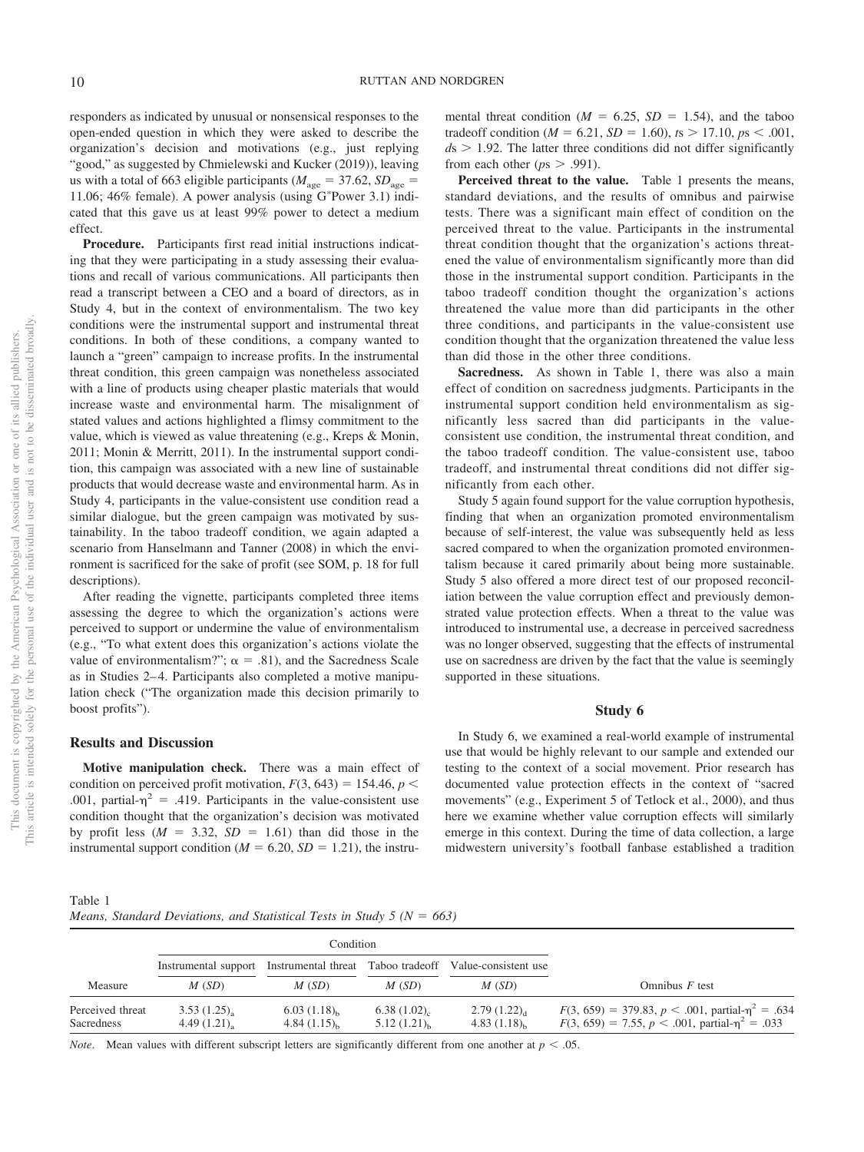responders as indicated by unusual or nonsensical responses to the open-ended question in which they were asked to describe the organization's decision and motivations (e.g., just replying "good," as suggested by Chmielewski and Kucker (2019)), leaving us with a total of 663 eligible participants ( $M_{\text{age}} = 37.62$ ,  $SD_{\text{age}} =$ 11.06; 46% female). A power analysis (using  $G^*$ Power 3.1) indicated that this gave us at least 99% power to detect a medium effect.

**Procedure.** Participants first read initial instructions indicating that they were participating in a study assessing their evaluations and recall of various communications. All participants then read a transcript between a CEO and a board of directors, as in Study 4, but in the context of environmentalism. The two key conditions were the instrumental support and instrumental threat conditions. In both of these conditions, a company wanted to launch a "green" campaign to increase profits. In the instrumental threat condition, this green campaign was nonetheless associated with a line of products using cheaper plastic materials that would increase waste and environmental harm. The misalignment of stated values and actions highlighted a flimsy commitment to the value, which is viewed as value threatening (e.g., Kreps & Monin, 2011; Monin & Merritt, 2011). In the instrumental support condition, this campaign was associated with a new line of sustainable products that would decrease waste and environmental harm. As in Study 4, participants in the value-consistent use condition read a similar dialogue, but the green campaign was motivated by sustainability. In the taboo tradeoff condition, we again adapted a scenario from Hanselmann and Tanner (2008) in which the environment is sacrificed for the sake of profit (see SOM, p. 18 for full descriptions).

After reading the vignette, participants completed three items assessing the degree to which the organization's actions were perceived to support or undermine the value of environmentalism (e.g., "To what extent does this organization's actions violate the value of environmentalism?";  $\alpha = .81$ ), and the Sacredness Scale as in Studies 2–4. Participants also completed a motive manipulation check ("The organization made this decision primarily to boost profits").

# **Results and Discussion**

**Motive manipulation check.** There was a main effect of condition on perceived profit motivation,  $F(3, 643) = 154.46$ ,  $p <$ .001, partial- $\eta^2$  = .419. Participants in the value-consistent use condition thought that the organization's decision was motivated by profit less  $(M = 3.32, SD = 1.61)$  than did those in the instrumental support condition ( $M = 6.20$ ,  $SD = 1.21$ ), the instru-

mental threat condition ( $M = 6.25$ ,  $SD = 1.54$ ), and the taboo tradeoff condition ( $M = 6.21$ ,  $SD = 1.60$ ),  $ts > 17.10$ ,  $ps < .001$ ,  $ds$   $>$  1.92. The latter three conditions did not differ significantly from each other ( $p_s > .991$ ).

**Perceived threat to the value.** Table 1 presents the means, standard deviations, and the results of omnibus and pairwise tests. There was a significant main effect of condition on the perceived threat to the value. Participants in the instrumental threat condition thought that the organization's actions threatened the value of environmentalism significantly more than did those in the instrumental support condition. Participants in the taboo tradeoff condition thought the organization's actions threatened the value more than did participants in the other three conditions, and participants in the value-consistent use condition thought that the organization threatened the value less than did those in the other three conditions.

Sacredness. As shown in Table 1, there was also a main effect of condition on sacredness judgments. Participants in the instrumental support condition held environmentalism as significantly less sacred than did participants in the valueconsistent use condition, the instrumental threat condition, and the taboo tradeoff condition. The value-consistent use, taboo tradeoff, and instrumental threat conditions did not differ significantly from each other.

Study 5 again found support for the value corruption hypothesis, finding that when an organization promoted environmentalism because of self-interest, the value was subsequently held as less sacred compared to when the organization promoted environmentalism because it cared primarily about being more sustainable. Study 5 also offered a more direct test of our proposed reconciliation between the value corruption effect and previously demonstrated value protection effects. When a threat to the value was introduced to instrumental use, a decrease in perceived sacredness was no longer observed, suggesting that the effects of instrumental use on sacredness are driven by the fact that the value is seemingly supported in these situations.

## **Study 6**

In Study 6, we examined a real-world example of instrumental use that would be highly relevant to our sample and extended our testing to the context of a social movement. Prior research has documented value protection effects in the context of "sacred movements" (e.g., Experiment 5 of Tetlock et al., 2000), and thus here we examine whether value corruption effects will similarly emerge in this context. During the time of data collection, a large midwestern university's football fanbase established a tradition

Table 1 *Means, Standard Deviations, and Statistical Tests in Study 5 (N = 663)* 

|                                |                              | Condition                            |                                |                                                                              |                                                                                                                         |
|--------------------------------|------------------------------|--------------------------------------|--------------------------------|------------------------------------------------------------------------------|-------------------------------------------------------------------------------------------------------------------------|
|                                |                              |                                      |                                | Instrumental support Instrumental threat Taboo tradeoff Value-consistent use |                                                                                                                         |
| Measure                        | M(SD)                        | M(SD)                                | M(SD)                          | M(SD)                                                                        | Omnibus $F$ test                                                                                                        |
| Perceived threat<br>Sacredness | 3.53(1.25)<br>$4.49(1.21)$ , | $6.03(1.18)_{h}$<br>$4.84(1.15)_{h}$ | 6.38(1.02)<br>$5.12(1.21)_{h}$ | $2.79(1.22)_{\rm d}$<br>$4.83(1.18)_{h}$                                     | $F(3, 659) = 379.83, p < .001$ , partial- $\eta^2 = .634$<br>$F(3, 659) = 7.55$ , $p < .001$ , partial- $\eta^2 = .033$ |

*Note*. Mean values with different subscript letters are significantly different from one another at  $p < .05$ .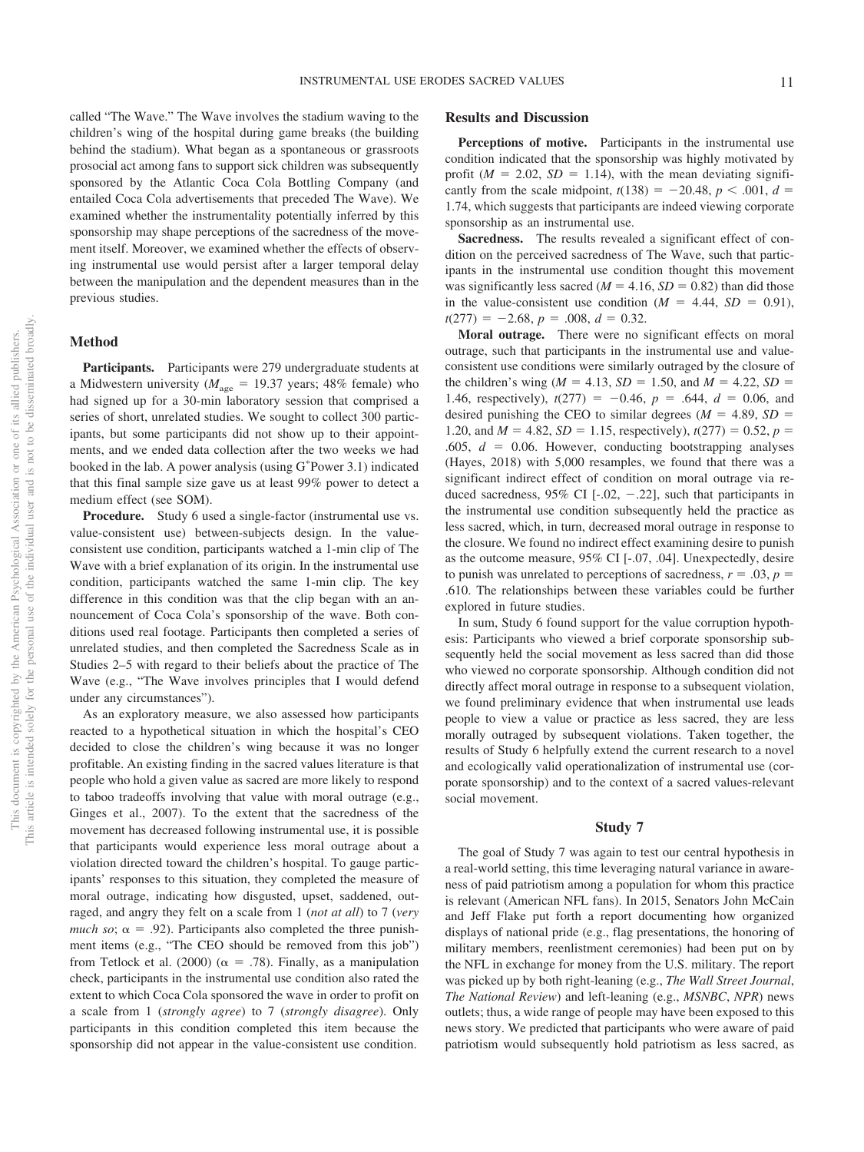called "The Wave." The Wave involves the stadium waving to the children's wing of the hospital during game breaks (the building behind the stadium). What began as a spontaneous or grassroots prosocial act among fans to support sick children was subsequently sponsored by the Atlantic Coca Cola Bottling Company (and entailed Coca Cola advertisements that preceded The Wave). We examined whether the instrumentality potentially inferred by this sponsorship may shape perceptions of the sacredness of the movement itself. Moreover, we examined whether the effects of observing instrumental use would persist after a larger temporal delay between the manipulation and the dependent measures than in the previous studies.

#### **Method**

Participants. Participants were 279 undergraduate students at a Midwestern university ( $M_{\text{age}} = 19.37$  years; 48% female) who had signed up for a 30-min laboratory session that comprised a series of short, unrelated studies. We sought to collect 300 participants, but some participants did not show up to their appointments, and we ended data collection after the two weeks we had booked in the lab. A power analysis (using G\*Power 3.1) indicated that this final sample size gave us at least 99% power to detect a medium effect (see SOM).

**Procedure.** Study 6 used a single-factor (instrumental use vs. value-consistent use) between-subjects design. In the valueconsistent use condition, participants watched a 1-min clip of The Wave with a brief explanation of its origin. In the instrumental use condition, participants watched the same 1-min clip. The key difference in this condition was that the clip began with an announcement of Coca Cola's sponsorship of the wave. Both conditions used real footage. Participants then completed a series of unrelated studies, and then completed the Sacredness Scale as in Studies 2–5 with regard to their beliefs about the practice of The Wave (e.g., "The Wave involves principles that I would defend under any circumstances").

As an exploratory measure, we also assessed how participants reacted to a hypothetical situation in which the hospital's CEO decided to close the children's wing because it was no longer profitable. An existing finding in the sacred values literature is that people who hold a given value as sacred are more likely to respond to taboo tradeoffs involving that value with moral outrage (e.g., Ginges et al., 2007). To the extent that the sacredness of the movement has decreased following instrumental use, it is possible that participants would experience less moral outrage about a violation directed toward the children's hospital. To gauge participants' responses to this situation, they completed the measure of moral outrage, indicating how disgusted, upset, saddened, outraged, and angry they felt on a scale from 1 (*not at all*) to 7 (*very much so*;  $\alpha = .92$ ). Participants also completed the three punishment items (e.g., "The CEO should be removed from this job") from Tetlock et al. (2000) ( $\alpha = .78$ ). Finally, as a manipulation check, participants in the instrumental use condition also rated the extent to which Coca Cola sponsored the wave in order to profit on a scale from 1 (*strongly agree*) to 7 (*strongly disagree*). Only participants in this condition completed this item because the sponsorship did not appear in the value-consistent use condition.

#### **Results and Discussion**

**Perceptions of motive.** Participants in the instrumental use condition indicated that the sponsorship was highly motivated by profit ( $M = 2.02$ ,  $SD = 1.14$ ), with the mean deviating significantly from the scale midpoint,  $t(138) = -20.48$ ,  $p < .001$ ,  $d =$ 1.74, which suggests that participants are indeed viewing corporate sponsorship as an instrumental use.

**Sacredness.** The results revealed a significant effect of condition on the perceived sacredness of The Wave, such that participants in the instrumental use condition thought this movement was significantly less sacred ( $M = 4.16$ ,  $SD = 0.82$ ) than did those in the value-consistent use condition  $(M = 4.44, SD = 0.91)$ ,  $t(277) = -2.68, p = .008, d = 0.32.$ 

**Moral outrage.** There were no significant effects on moral outrage, such that participants in the instrumental use and valueconsistent use conditions were similarly outraged by the closure of the children's wing ( $M = 4.13$ ,  $SD = 1.50$ , and  $M = 4.22$ ,  $SD =$ 1.46, respectively),  $t(277) = -0.46$ ,  $p = .644$ ,  $d = 0.06$ , and desired punishing the CEO to similar degrees ( $M = 4.89$ ,  $SD =$ 1.20, and  $M = 4.82$ ,  $SD = 1.15$ , respectively),  $t(277) = 0.52$ ,  $p =$  $.605, d = 0.06$ . However, conducting bootstrapping analyses (Hayes, 2018) with 5,000 resamples, we found that there was a significant indirect effect of condition on moral outrage via reduced sacredness, 95% CI [-.02,  $-.22$ ], such that participants in the instrumental use condition subsequently held the practice as less sacred, which, in turn, decreased moral outrage in response to the closure. We found no indirect effect examining desire to punish as the outcome measure, 95% CI [-.07, .04]. Unexpectedly, desire to punish was unrelated to perceptions of sacredness,  $r = .03$ ,  $p =$ .610. The relationships between these variables could be further explored in future studies.

In sum, Study 6 found support for the value corruption hypothesis: Participants who viewed a brief corporate sponsorship subsequently held the social movement as less sacred than did those who viewed no corporate sponsorship. Although condition did not directly affect moral outrage in response to a subsequent violation, we found preliminary evidence that when instrumental use leads people to view a value or practice as less sacred, they are less morally outraged by subsequent violations. Taken together, the results of Study 6 helpfully extend the current research to a novel and ecologically valid operationalization of instrumental use (corporate sponsorship) and to the context of a sacred values-relevant social movement.

#### **Study 7**

The goal of Study 7 was again to test our central hypothesis in a real-world setting, this time leveraging natural variance in awareness of paid patriotism among a population for whom this practice is relevant (American NFL fans). In 2015, Senators John McCain and Jeff Flake put forth a report documenting how organized displays of national pride (e.g., flag presentations, the honoring of military members, reenlistment ceremonies) had been put on by the NFL in exchange for money from the U.S. military. The report was picked up by both right-leaning (e.g., *The Wall Street Journal*, *The National Review*) and left-leaning (e.g., *MSNBC*, *NPR*) news outlets; thus, a wide range of people may have been exposed to this news story. We predicted that participants who were aware of paid patriotism would subsequently hold patriotism as less sacred, as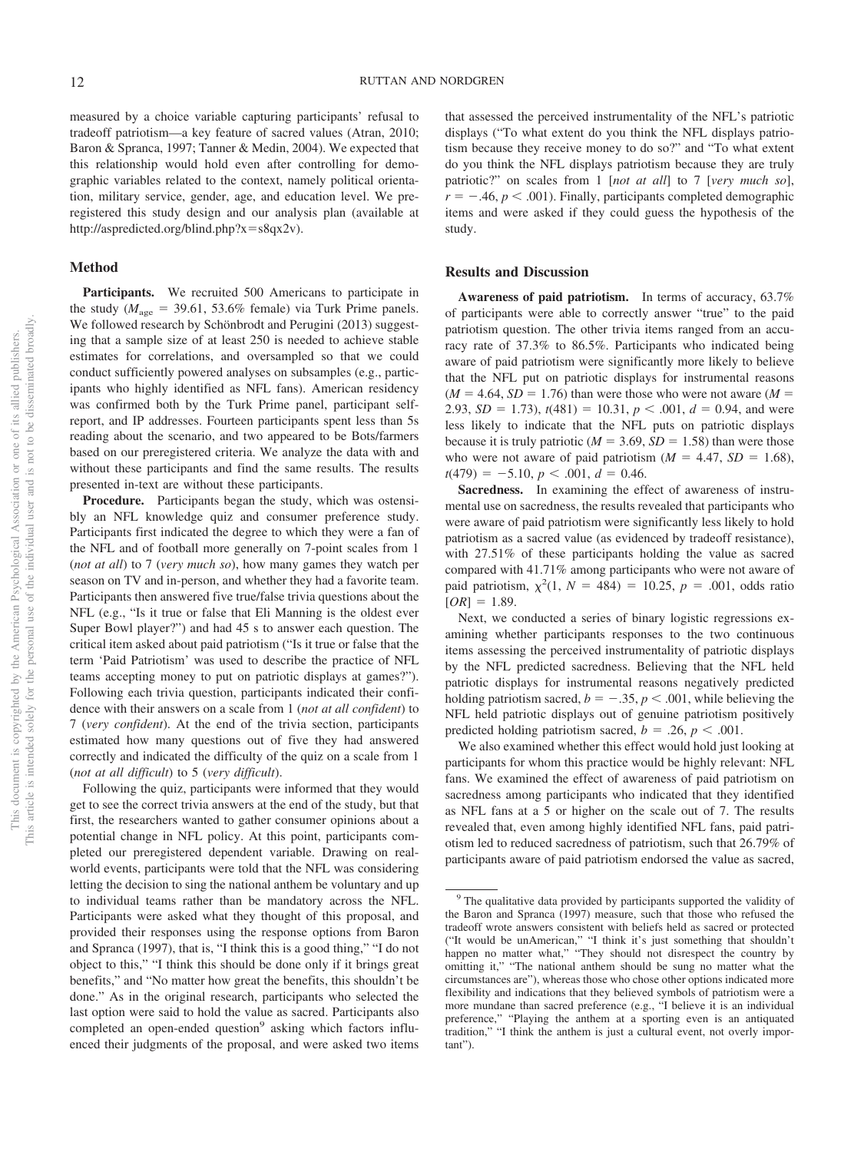measured by a choice variable capturing participants' refusal to tradeoff patriotism—a key feature of sacred values (Atran, 2010; Baron & Spranca, 1997; Tanner & Medin, 2004). We expected that this relationship would hold even after controlling for demographic variables related to the context, namely political orientation, military service, gender, age, and education level. We preregistered this study design and our analysis plan (available at http://aspredicted.org/blind.php?x=s8qx2v).

#### **Method**

Participants. We recruited 500 Americans to participate in the study ( $M_{\text{age}} = 39.61, 53.6\%$  female) via Turk Prime panels. We followed research by Schönbrodt and Perugini (2013) suggesting that a sample size of at least 250 is needed to achieve stable estimates for correlations, and oversampled so that we could conduct sufficiently powered analyses on subsamples (e.g., participants who highly identified as NFL fans). American residency was confirmed both by the Turk Prime panel, participant selfreport, and IP addresses. Fourteen participants spent less than 5s reading about the scenario, and two appeared to be Bots/farmers based on our preregistered criteria. We analyze the data with and without these participants and find the same results. The results presented in-text are without these participants.

**Procedure.** Participants began the study, which was ostensibly an NFL knowledge quiz and consumer preference study. Participants first indicated the degree to which they were a fan of the NFL and of football more generally on 7-point scales from 1 (*not at all*) to 7 (*very much so*), how many games they watch per season on TV and in-person, and whether they had a favorite team. Participants then answered five true/false trivia questions about the NFL (e.g., "Is it true or false that Eli Manning is the oldest ever Super Bowl player?") and had 45 s to answer each question. The critical item asked about paid patriotism ("Is it true or false that the term 'Paid Patriotism' was used to describe the practice of NFL teams accepting money to put on patriotic displays at games?"). Following each trivia question, participants indicated their confidence with their answers on a scale from 1 (*not at all confident*) to 7 (*very confident*). At the end of the trivia section, participants estimated how many questions out of five they had answered correctly and indicated the difficulty of the quiz on a scale from 1 (*not at all difficult*) to 5 (*very difficult*).

Following the quiz, participants were informed that they would get to see the correct trivia answers at the end of the study, but that first, the researchers wanted to gather consumer opinions about a potential change in NFL policy. At this point, participants completed our preregistered dependent variable. Drawing on realworld events, participants were told that the NFL was considering letting the decision to sing the national anthem be voluntary and up to individual teams rather than be mandatory across the NFL. Participants were asked what they thought of this proposal, and provided their responses using the response options from Baron and Spranca (1997), that is, "I think this is a good thing," "I do not object to this," "I think this should be done only if it brings great benefits," and "No matter how great the benefits, this shouldn't be done." As in the original research, participants who selected the last option were said to hold the value as sacred. Participants also completed an open-ended question<sup>9</sup> asking which factors influenced their judgments of the proposal, and were asked two items

that assessed the perceived instrumentality of the NFL's patriotic displays ("To what extent do you think the NFL displays patriotism because they receive money to do so?" and "To what extent do you think the NFL displays patriotism because they are truly patriotic?" on scales from 1 [*not at all*] to 7 [*very much so*],  $r = -.46, p < .001$ ). Finally, participants completed demographic items and were asked if they could guess the hypothesis of the study.

## **Results and Discussion**

**Awareness of paid patriotism.** In terms of accuracy, 63.7% of participants were able to correctly answer "true" to the paid patriotism question. The other trivia items ranged from an accuracy rate of 37.3% to 86.5%. Participants who indicated being aware of paid patriotism were significantly more likely to believe that the NFL put on patriotic displays for instrumental reasons  $(M = 4.64, SD = 1.76)$  than were those who were not aware  $(M = 1.76)$ 2.93,  $SD = 1.73$ ,  $t(481) = 10.31$ ,  $p < .001$ ,  $d = 0.94$ , and were less likely to indicate that the NFL puts on patriotic displays because it is truly patriotic ( $M = 3.69$ ,  $SD = 1.58$ ) than were those who were not aware of paid patriotism  $(M = 4.47, SD = 1.68)$ ,  $t(479) = -5.10, p < .001, d = 0.46.$ 

**Sacredness.** In examining the effect of awareness of instrumental use on sacredness, the results revealed that participants who were aware of paid patriotism were significantly less likely to hold patriotism as a sacred value (as evidenced by tradeoff resistance), with 27.51% of these participants holding the value as sacred compared with 41.71% among participants who were not aware of paid patriotism,  $\chi^2(1, N = 484) = 10.25, p = .001$ , odds ratio  $[OR] = 1.89$ .

Next, we conducted a series of binary logistic regressions examining whether participants responses to the two continuous items assessing the perceived instrumentality of patriotic displays by the NFL predicted sacredness. Believing that the NFL held patriotic displays for instrumental reasons negatively predicted holding patriotism sacred,  $b = -.35, p < .001$ , while believing the NFL held patriotic displays out of genuine patriotism positively predicted holding patriotism sacred,  $b = .26$ ,  $p < .001$ .

We also examined whether this effect would hold just looking at participants for whom this practice would be highly relevant: NFL fans. We examined the effect of awareness of paid patriotism on sacredness among participants who indicated that they identified as NFL fans at a 5 or higher on the scale out of 7. The results revealed that, even among highly identified NFL fans, paid patriotism led to reduced sacredness of patriotism, such that 26.79% of participants aware of paid patriotism endorsed the value as sacred,

<sup>&</sup>lt;sup>9</sup> The qualitative data provided by participants supported the validity of the Baron and Spranca (1997) measure, such that those who refused the tradeoff wrote answers consistent with beliefs held as sacred or protected ("It would be unAmerican," "I think it's just something that shouldn't happen no matter what," "They should not disrespect the country by omitting it," "The national anthem should be sung no matter what the circumstances are"), whereas those who chose other options indicated more flexibility and indications that they believed symbols of patriotism were a more mundane than sacred preference (e.g., "I believe it is an individual preference," "Playing the anthem at a sporting even is an antiquated tradition," "I think the anthem is just a cultural event, not overly important").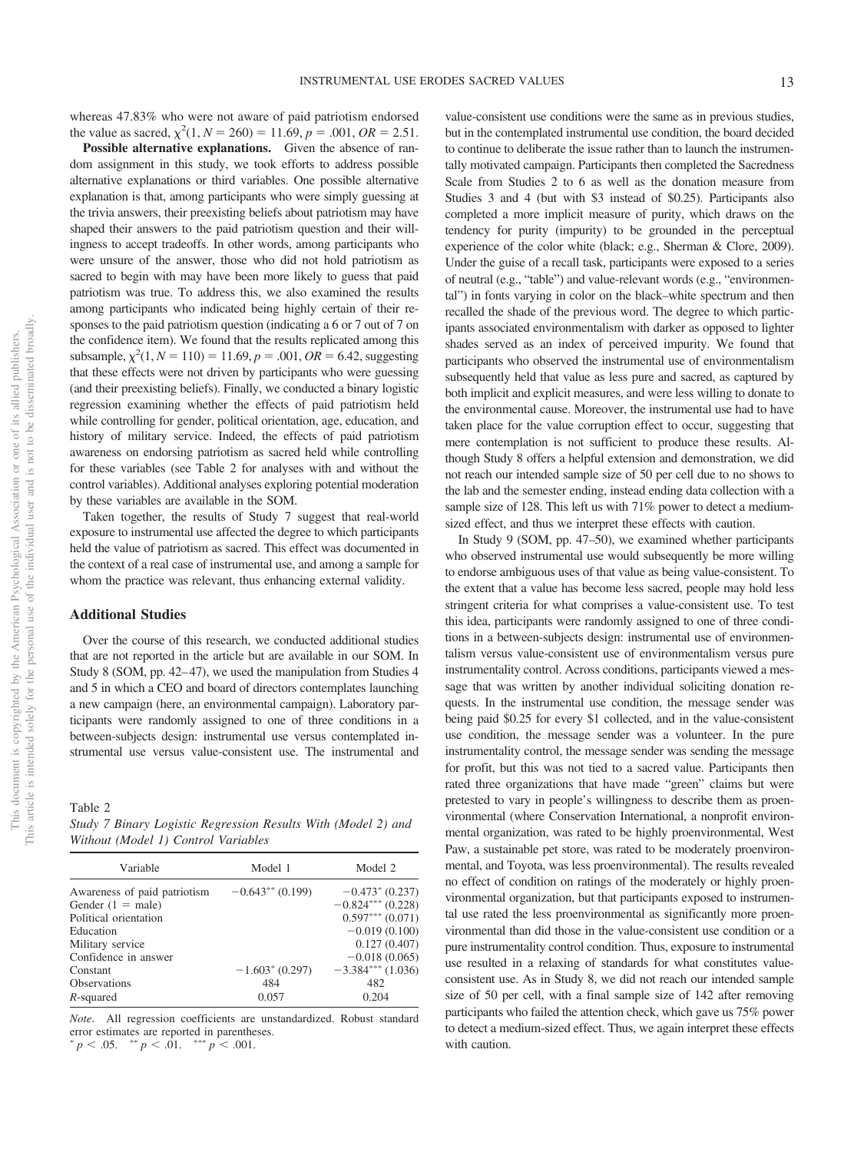whereas 47.83% who were not aware of paid patriotism endorsed the value as sacred,  $\chi^2(1, N = 260) = 11.69$ ,  $p = .001$ ,  $OR = 2.51$ .

**Possible alternative explanations.** Given the absence of random assignment in this study, we took efforts to address possible alternative explanations or third variables. One possible alternative explanation is that, among participants who were simply guessing at the trivia answers, their preexisting beliefs about patriotism may have shaped their answers to the paid patriotism question and their willingness to accept tradeoffs. In other words, among participants who were unsure of the answer, those who did not hold patriotism as sacred to begin with may have been more likely to guess that paid patriotism was true. To address this, we also examined the results among participants who indicated being highly certain of their responses to the paid patriotism question (indicating a 6 or 7 out of 7 on the confidence item). We found that the results replicated among this subsample,  $\chi^2(1, N = 110) = 11.69$ ,  $p = .001$ ,  $OR = 6.42$ , suggesting that these effects were not driven by participants who were guessing (and their preexisting beliefs). Finally, we conducted a binary logistic regression examining whether the effects of paid patriotism held while controlling for gender, political orientation, age, education, and history of military service. Indeed, the effects of paid patriotism awareness on endorsing patriotism as sacred held while controlling for these variables (see Table 2 for analyses with and without the control variables). Additional analyses exploring potential moderation by these variables are available in the SOM.

Taken together, the results of Study 7 suggest that real-world exposure to instrumental use affected the degree to which participants held the value of patriotism as sacred. This effect was documented in the context of a real case of instrumental use, and among a sample for whom the practice was relevant, thus enhancing external validity.

# **Additional Studies**

Table 2

Over the course of this research, we conducted additional studies that are not reported in the article but are available in our SOM. In Study 8 (SOM, pp. 42–47), we used the manipulation from Studies 4 and 5 in which a CEO and board of directors contemplates launching a new campaign (here, an environmental campaign). Laboratory participants were randomly assigned to one of three conditions in a between-subjects design: instrumental use versus contemplated instrumental use versus value-consistent use. The instrumental and

*Study 7 Binary Logistic Regression Results With (Model 2) and Without (Model 1) Control Variables*

| Variable                     | Model 1            | Model 2                       |  |
|------------------------------|--------------------|-------------------------------|--|
| Awareness of paid patriotism | $-0.643**$ (0.199) | $-0.473$ <sup>*</sup> (0.237) |  |
| Gender $(1 = male)$          |                    | $-0.824***(0.228)$            |  |
| Political orientation        |                    | $0.597***(0.071)$             |  |
| Education                    |                    | $-0.019(0.100)$               |  |
| Military service             |                    | 0.127(0.407)                  |  |
| Confidence in answer         |                    | $-0.018(0.065)$               |  |
| Constant                     | $-1.603^* (0.297)$ | $-3.384***(1.036)$            |  |
| <b>Observations</b>          | 484                | 482                           |  |
| R-squared                    | 0.057              | 0.204                         |  |

*Note*. All regression coefficients are unstandardized. Robust standard error estimates are reported in parentheses.  $p < .05.$  \*\*p < .01. \*\*\*p < .001.

value-consistent use conditions were the same as in previous studies, but in the contemplated instrumental use condition, the board decided to continue to deliberate the issue rather than to launch the instrumentally motivated campaign. Participants then completed the Sacredness Scale from Studies 2 to 6 as well as the donation measure from Studies 3 and 4 (but with \$3 instead of \$0.25). Participants also completed a more implicit measure of purity, which draws on the tendency for purity (impurity) to be grounded in the perceptual experience of the color white (black; e.g., Sherman & Clore, 2009). Under the guise of a recall task, participants were exposed to a series of neutral (e.g., "table") and value-relevant words (e.g., "environmental") in fonts varying in color on the black–white spectrum and then recalled the shade of the previous word. The degree to which participants associated environmentalism with darker as opposed to lighter shades served as an index of perceived impurity. We found that participants who observed the instrumental use of environmentalism subsequently held that value as less pure and sacred, as captured by both implicit and explicit measures, and were less willing to donate to the environmental cause. Moreover, the instrumental use had to have taken place for the value corruption effect to occur, suggesting that mere contemplation is not sufficient to produce these results. Although Study 8 offers a helpful extension and demonstration, we did not reach our intended sample size of 50 per cell due to no shows to the lab and the semester ending, instead ending data collection with a sample size of 128. This left us with 71% power to detect a mediumsized effect, and thus we interpret these effects with caution.

In Study 9 (SOM, pp. 47–50), we examined whether participants who observed instrumental use would subsequently be more willing to endorse ambiguous uses of that value as being value-consistent. To the extent that a value has become less sacred, people may hold less stringent criteria for what comprises a value-consistent use. To test this idea, participants were randomly assigned to one of three conditions in a between-subjects design: instrumental use of environmentalism versus value-consistent use of environmentalism versus pure instrumentality control. Across conditions, participants viewed a message that was written by another individual soliciting donation requests. In the instrumental use condition, the message sender was being paid \$0.25 for every \$1 collected, and in the value-consistent use condition, the message sender was a volunteer. In the pure instrumentality control, the message sender was sending the message for profit, but this was not tied to a sacred value. Participants then rated three organizations that have made "green" claims but were pretested to vary in people's willingness to describe them as proenvironmental (where Conservation International, a nonprofit environmental organization, was rated to be highly proenvironmental, West Paw, a sustainable pet store, was rated to be moderately proenvironmental, and Toyota, was less proenvironmental). The results revealed no effect of condition on ratings of the moderately or highly proenvironmental organization, but that participants exposed to instrumental use rated the less proenvironmental as significantly more proenvironmental than did those in the value-consistent use condition or a pure instrumentality control condition. Thus, exposure to instrumental use resulted in a relaxing of standards for what constitutes valueconsistent use. As in Study 8, we did not reach our intended sample size of 50 per cell, with a final sample size of 142 after removing participants who failed the attention check, which gave us 75% power to detect a medium-sized effect. Thus, we again interpret these effects with caution.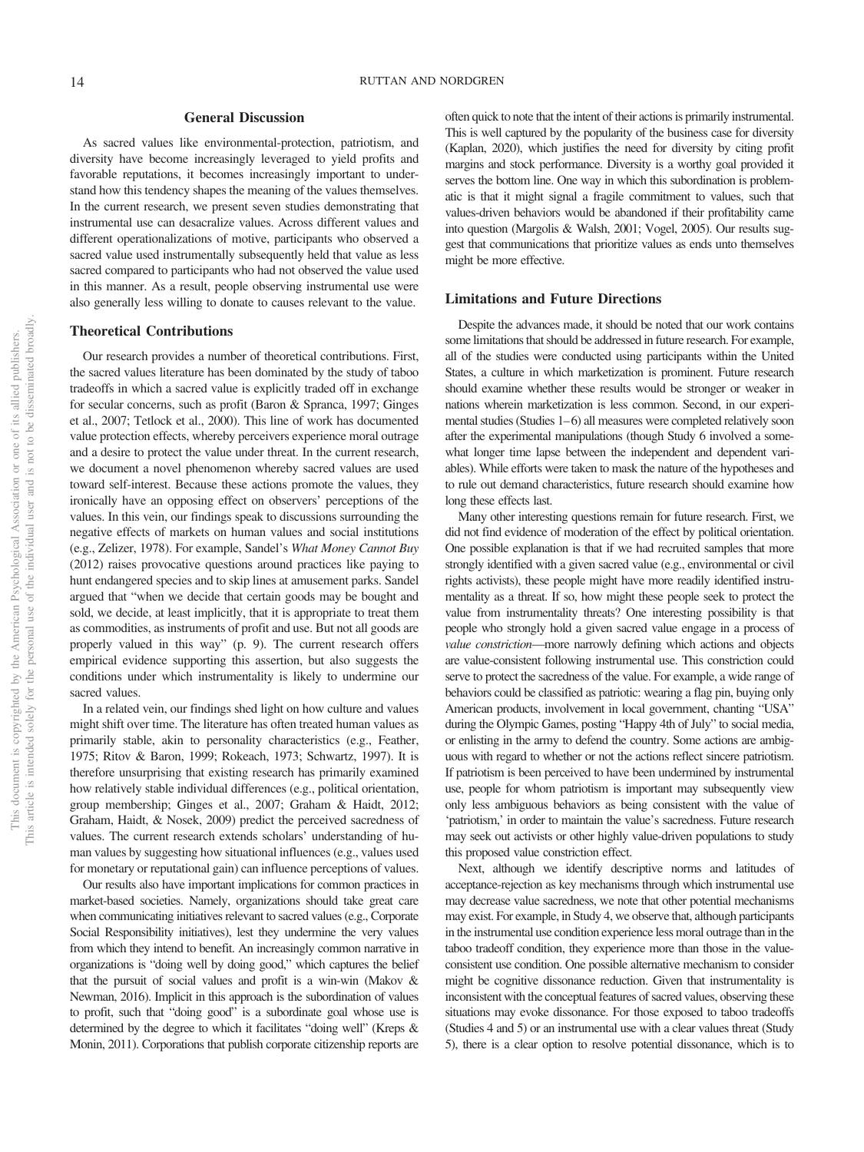## **General Discussion**

As sacred values like environmental-protection, patriotism, and diversity have become increasingly leveraged to yield profits and favorable reputations, it becomes increasingly important to understand how this tendency shapes the meaning of the values themselves. In the current research, we present seven studies demonstrating that instrumental use can desacralize values. Across different values and different operationalizations of motive, participants who observed a sacred value used instrumentally subsequently held that value as less sacred compared to participants who had not observed the value used in this manner. As a result, people observing instrumental use were also generally less willing to donate to causes relevant to the value.

#### **Theoretical Contributions**

Our research provides a number of theoretical contributions. First, the sacred values literature has been dominated by the study of taboo tradeoffs in which a sacred value is explicitly traded off in exchange for secular concerns, such as profit (Baron & Spranca, 1997; Ginges et al., 2007; Tetlock et al., 2000). This line of work has documented value protection effects, whereby perceivers experience moral outrage and a desire to protect the value under threat. In the current research, we document a novel phenomenon whereby sacred values are used toward self-interest. Because these actions promote the values, they ironically have an opposing effect on observers' perceptions of the values. In this vein, our findings speak to discussions surrounding the negative effects of markets on human values and social institutions (e.g., Zelizer, 1978). For example, Sandel's *What Money Cannot Buy* (2012) raises provocative questions around practices like paying to hunt endangered species and to skip lines at amusement parks. Sandel argued that "when we decide that certain goods may be bought and sold, we decide, at least implicitly, that it is appropriate to treat them as commodities, as instruments of profit and use. But not all goods are properly valued in this way" (p. 9). The current research offers empirical evidence supporting this assertion, but also suggests the conditions under which instrumentality is likely to undermine our sacred values.

In a related vein, our findings shed light on how culture and values might shift over time. The literature has often treated human values as primarily stable, akin to personality characteristics (e.g., Feather, 1975; Ritov & Baron, 1999; Rokeach, 1973; Schwartz, 1997). It is therefore unsurprising that existing research has primarily examined how relatively stable individual differences (e.g., political orientation, group membership; Ginges et al., 2007; Graham & Haidt, 2012; Graham, Haidt, & Nosek, 2009) predict the perceived sacredness of values. The current research extends scholars' understanding of human values by suggesting how situational influences (e.g., values used for monetary or reputational gain) can influence perceptions of values.

Our results also have important implications for common practices in market-based societies. Namely, organizations should take great care when communicating initiatives relevant to sacred values (e.g., Corporate Social Responsibility initiatives), lest they undermine the very values from which they intend to benefit. An increasingly common narrative in organizations is "doing well by doing good," which captures the belief that the pursuit of social values and profit is a win-win (Makov & Newman, 2016). Implicit in this approach is the subordination of values to profit, such that "doing good" is a subordinate goal whose use is determined by the degree to which it facilitates "doing well" (Kreps & Monin, 2011). Corporations that publish corporate citizenship reports are

often quick to note that the intent of their actions is primarily instrumental. This is well captured by the popularity of the business case for diversity (Kaplan, 2020), which justifies the need for diversity by citing profit margins and stock performance. Diversity is a worthy goal provided it serves the bottom line. One way in which this subordination is problematic is that it might signal a fragile commitment to values, such that values-driven behaviors would be abandoned if their profitability came into question (Margolis & Walsh, 2001; Vogel, 2005). Our results suggest that communications that prioritize values as ends unto themselves might be more effective.

#### **Limitations and Future Directions**

Despite the advances made, it should be noted that our work contains some limitations that should be addressed in future research. For example, all of the studies were conducted using participants within the United States, a culture in which marketization is prominent. Future research should examine whether these results would be stronger or weaker in nations wherein marketization is less common. Second, in our experimental studies (Studies 1–6) all measures were completed relatively soon after the experimental manipulations (though Study 6 involved a somewhat longer time lapse between the independent and dependent variables). While efforts were taken to mask the nature of the hypotheses and to rule out demand characteristics, future research should examine how long these effects last.

Many other interesting questions remain for future research. First, we did not find evidence of moderation of the effect by political orientation. One possible explanation is that if we had recruited samples that more strongly identified with a given sacred value (e.g., environmental or civil rights activists), these people might have more readily identified instrumentality as a threat. If so, how might these people seek to protect the value from instrumentality threats? One interesting possibility is that people who strongly hold a given sacred value engage in a process of *value constriction*—more narrowly defining which actions and objects are value-consistent following instrumental use. This constriction could serve to protect the sacredness of the value. For example, a wide range of behaviors could be classified as patriotic: wearing a flag pin, buying only American products, involvement in local government, chanting "USA" during the Olympic Games, posting "Happy 4th of July" to social media, or enlisting in the army to defend the country. Some actions are ambiguous with regard to whether or not the actions reflect sincere patriotism. If patriotism is been perceived to have been undermined by instrumental use, people for whom patriotism is important may subsequently view only less ambiguous behaviors as being consistent with the value of 'patriotism,' in order to maintain the value's sacredness. Future research may seek out activists or other highly value-driven populations to study this proposed value constriction effect.

Next, although we identify descriptive norms and latitudes of acceptance-rejection as key mechanisms through which instrumental use may decrease value sacredness, we note that other potential mechanisms may exist. For example, in Study 4, we observe that, although participants in the instrumental use condition experience less moral outrage than in the taboo tradeoff condition, they experience more than those in the valueconsistent use condition. One possible alternative mechanism to consider might be cognitive dissonance reduction. Given that instrumentality is inconsistent with the conceptual features of sacred values, observing these situations may evoke dissonance. For those exposed to taboo tradeoffs (Studies 4 and 5) or an instrumental use with a clear values threat (Study 5), there is a clear option to resolve potential dissonance, which is to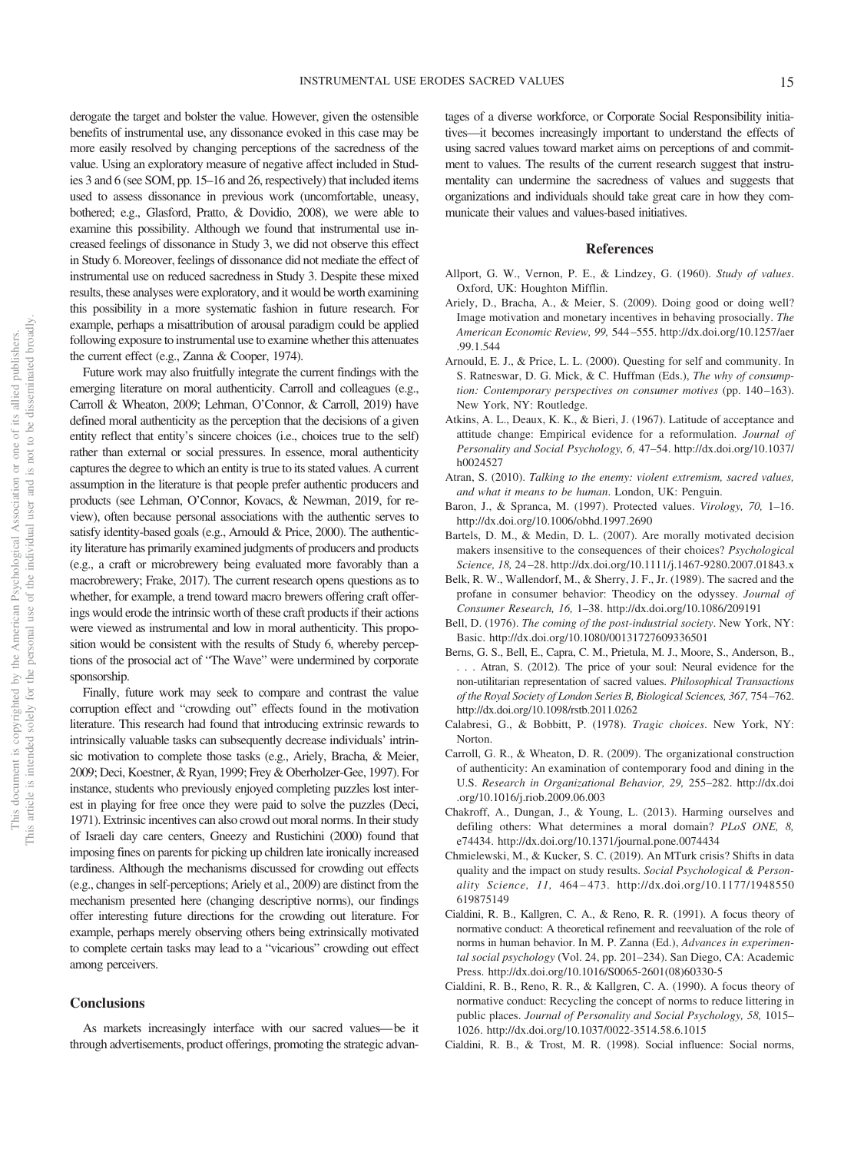derogate the target and bolster the value. However, given the ostensible benefits of instrumental use, any dissonance evoked in this case may be more easily resolved by changing perceptions of the sacredness of the value. Using an exploratory measure of negative affect included in Studies 3 and 6 (see SOM, pp. 15–16 and 26, respectively) that included items used to assess dissonance in previous work (uncomfortable, uneasy, bothered; e.g., Glasford, Pratto, & Dovidio, 2008), we were able to examine this possibility. Although we found that instrumental use increased feelings of dissonance in Study 3, we did not observe this effect in Study 6. Moreover, feelings of dissonance did not mediate the effect of instrumental use on reduced sacredness in Study 3. Despite these mixed results, these analyses were exploratory, and it would be worth examining this possibility in a more systematic fashion in future research. For example, perhaps a misattribution of arousal paradigm could be applied following exposure to instrumental use to examine whether this attenuates the current effect (e.g., Zanna & Cooper, 1974).

Future work may also fruitfully integrate the current findings with the emerging literature on moral authenticity. Carroll and colleagues (e.g., Carroll & Wheaton, 2009; Lehman, O'Connor, & Carroll, 2019) have defined moral authenticity as the perception that the decisions of a given entity reflect that entity's sincere choices (i.e., choices true to the self) rather than external or social pressures. In essence, moral authenticity captures the degree to which an entity is true to its stated values. A current assumption in the literature is that people prefer authentic producers and products (see Lehman, O'Connor, Kovacs, & Newman, 2019, for review), often because personal associations with the authentic serves to satisfy identity-based goals (e.g., Arnould & Price, 2000). The authenticity literature has primarily examined judgments of producers and products (e.g., a craft or microbrewery being evaluated more favorably than a macrobrewery; Frake, 2017). The current research opens questions as to whether, for example, a trend toward macro brewers offering craft offerings would erode the intrinsic worth of these craft products if their actions were viewed as instrumental and low in moral authenticity. This proposition would be consistent with the results of Study 6, whereby perceptions of the prosocial act of "The Wave" were undermined by corporate sponsorship.

Finally, future work may seek to compare and contrast the value corruption effect and "crowding out" effects found in the motivation literature. This research had found that introducing extrinsic rewards to intrinsically valuable tasks can subsequently decrease individuals' intrinsic motivation to complete those tasks (e.g., Ariely, Bracha, & Meier, 2009; Deci, Koestner, & Ryan, 1999; Frey & Oberholzer-Gee, 1997). For instance, students who previously enjoyed completing puzzles lost interest in playing for free once they were paid to solve the puzzles (Deci, 1971). Extrinsic incentives can also crowd out moral norms. In their study of Israeli day care centers, Gneezy and Rustichini (2000) found that imposing fines on parents for picking up children late ironically increased tardiness. Although the mechanisms discussed for crowding out effects (e.g., changes in self-perceptions; Ariely et al., 2009) are distinct from the mechanism presented here (changing descriptive norms), our findings offer interesting future directions for the crowding out literature. For example, perhaps merely observing others being extrinsically motivated to complete certain tasks may lead to a "vicarious" crowding out effect among perceivers.

#### **Conclusions**

As markets increasingly interface with our sacred values—be it through advertisements, product offerings, promoting the strategic advantages of a diverse workforce, or Corporate Social Responsibility initiatives—it becomes increasingly important to understand the effects of using sacred values toward market aims on perceptions of and commitment to values. The results of the current research suggest that instrumentality can undermine the sacredness of values and suggests that organizations and individuals should take great care in how they communicate their values and values-based initiatives.

#### **References**

- Allport, G. W., Vernon, P. E., & Lindzey, G. (1960). *Study of values*. Oxford, UK: Houghton Mifflin.
- Ariely, D., Bracha, A., & Meier, S. (2009). Doing good or doing well? Image motivation and monetary incentives in behaving prosocially. *The American Economic Review, 99,* 544–555. http://dx.doi.org/10.1257/aer .99.1.544
- Arnould, E. J., & Price, L. L. (2000). Questing for self and community. In S. Ratneswar, D. G. Mick, & C. Huffman (Eds.), *The why of consumption: Contemporary perspectives on consumer motives* (pp. 140–163). New York, NY: Routledge.
- Atkins, A. L., Deaux, K. K., & Bieri, J. (1967). Latitude of acceptance and attitude change: Empirical evidence for a reformulation. *Journal of Personality and Social Psychology, 6,* 47–54. http://dx.doi.org/10.1037/ h0024527
- Atran, S. (2010). *Talking to the enemy: violent extremism, sacred values, and what it means to be human*. London, UK: Penguin.
- Baron, J., & Spranca, M. (1997). Protected values. *Virology, 70,* 1–16. http://dx.doi.org/10.1006/obhd.1997.2690
- Bartels, D. M., & Medin, D. L. (2007). Are morally motivated decision makers insensitive to the consequences of their choices? *Psychological Science, 18,* 24–28. http://dx.doi.org/10.1111/j.1467-9280.2007.01843.x
- Belk, R. W., Wallendorf, M., & Sherry, J. F., Jr. (1989). The sacred and the profane in consumer behavior: Theodicy on the odyssey. *Journal of Consumer Research, 16,* 1–38. http://dx.doi.org/10.1086/209191
- Bell, D. (1976). *The coming of the post-industrial society*. New York, NY: Basic. http://dx.doi.org/10.1080/00131727609336501
- Berns, G. S., Bell, E., Capra, C. M., Prietula, M. J., Moore, S., Anderson, B., . . . Atran, S. (2012). The price of your soul: Neural evidence for the non-utilitarian representation of sacred values. *Philosophical Transactions of the Royal Society of London Series B, Biological Sciences, 367,* 754–762. http://dx.doi.org/10.1098/rstb.2011.0262
- Calabresi, G., & Bobbitt, P. (1978). *Tragic choices*. New York, NY: Norton.
- Carroll, G. R., & Wheaton, D. R. (2009). The organizational construction of authenticity: An examination of contemporary food and dining in the U.S. *Research in Organizational Behavior, 29,* 255–282. http://dx.doi .org/10.1016/j.riob.2009.06.003
- Chakroff, A., Dungan, J., & Young, L. (2013). Harming ourselves and defiling others: What determines a moral domain? *PLoS ONE, 8,* e74434. http://dx.doi.org/10.1371/journal.pone.0074434
- Chmielewski, M., & Kucker, S. C. (2019). An MTurk crisis? Shifts in data quality and the impact on study results. *Social Psychological & Personality Science, 11,* 464–473. http://dx.doi.org/10.1177/1948550 619875149
- Cialdini, R. B., Kallgren, C. A., & Reno, R. R. (1991). A focus theory of normative conduct: A theoretical refinement and reevaluation of the role of norms in human behavior. In M. P. Zanna (Ed.), *Advances in experimental social psychology* (Vol. 24, pp. 201–234). San Diego, CA: Academic Press. http://dx.doi.org/10.1016/S0065-2601(08)60330-5
- Cialdini, R. B., Reno, R. R., & Kallgren, C. A. (1990). A focus theory of normative conduct: Recycling the concept of norms to reduce littering in public places. *Journal of Personality and Social Psychology, 58,* 1015– 1026. http://dx.doi.org/10.1037/0022-3514.58.6.1015
- Cialdini, R. B., & Trost, M. R. (1998). Social influence: Social norms,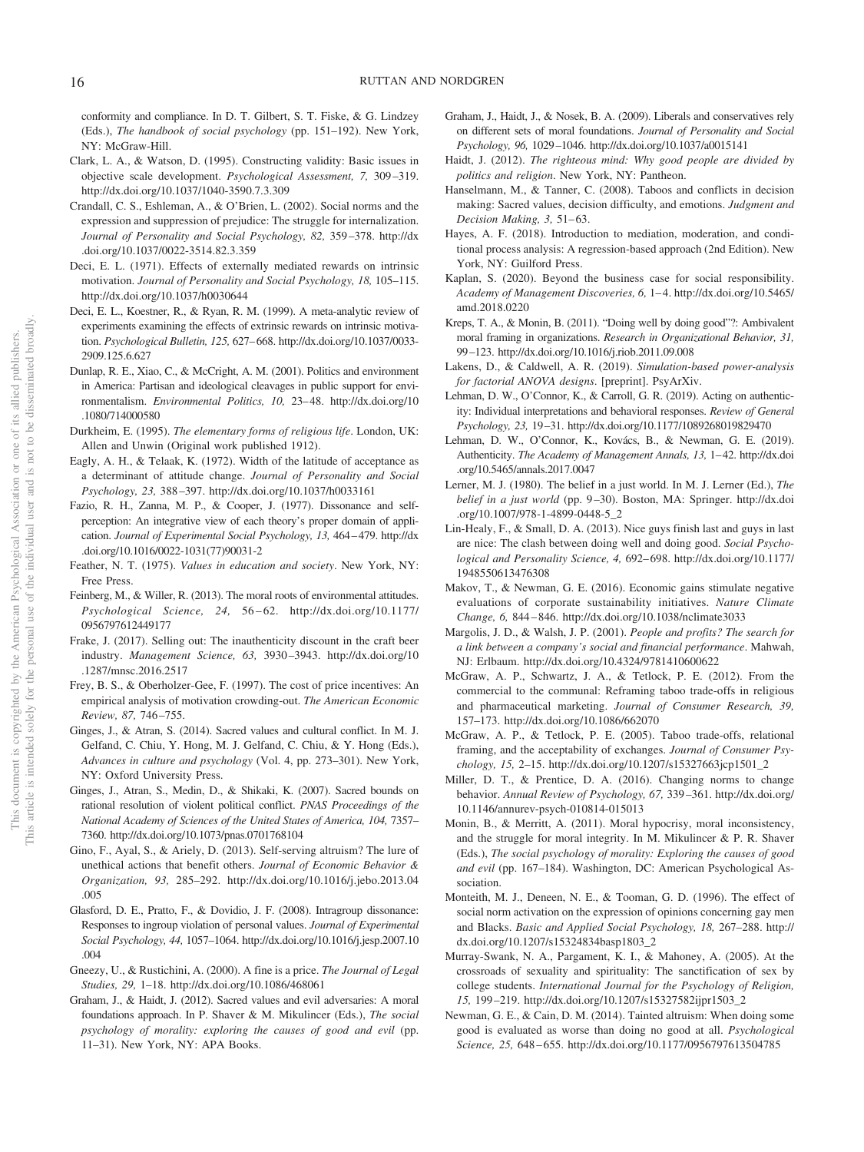conformity and compliance. In D. T. Gilbert, S. T. Fiske, & G. Lindzey (Eds.), *The handbook of social psychology* (pp. 151–192). New York, NY: McGraw-Hill.

- Clark, L. A., & Watson, D. (1995). Constructing validity: Basic issues in objective scale development. *Psychological Assessment, 7,* 309–319. http://dx.doi.org/10.1037/1040-3590.7.3.309
- Crandall, C. S., Eshleman, A., & O'Brien, L. (2002). Social norms and the expression and suppression of prejudice: The struggle for internalization. *Journal of Personality and Social Psychology, 82,* 359–378. http://dx .doi.org/10.1037/0022-3514.82.3.359
- Deci, E. L. (1971). Effects of externally mediated rewards on intrinsic motivation. *Journal of Personality and Social Psychology, 18,* 105–115. http://dx.doi.org/10.1037/h0030644
- Deci, E. L., Koestner, R., & Ryan, R. M. (1999). A meta-analytic review of experiments examining the effects of extrinsic rewards on intrinsic motivation. *Psychological Bulletin, 125,* 627–668. http://dx.doi.org/10.1037/0033- 2909.125.6.627
- Dunlap, R. E., Xiao, C., & McCright, A. M. (2001). Politics and environment in America: Partisan and ideological cleavages in public support for environmentalism. *Environmental Politics, 10,* 23–48. http://dx.doi.org/10 .1080/714000580
- Durkheim, E. (1995). *The elementary forms of religious life*. London, UK: Allen and Unwin (Original work published 1912).
- Eagly, A. H., & Telaak, K. (1972). Width of the latitude of acceptance as a determinant of attitude change. *Journal of Personality and Social Psychology, 23,* 388–397. http://dx.doi.org/10.1037/h0033161
- Fazio, R. H., Zanna, M. P., & Cooper, J. (1977). Dissonance and selfperception: An integrative view of each theory's proper domain of application. *Journal of Experimental Social Psychology, 13,* 464–479. http://dx .doi.org/10.1016/0022-1031(77)90031-2
- Feather, N. T. (1975). *Values in education and society*. New York, NY: Free Press.
- Feinberg, M., & Willer, R. (2013). The moral roots of environmental attitudes. *Psychological Science, 24,* 56–62. http://dx.doi.org/10.1177/ 0956797612449177
- Frake, J. (2017). Selling out: The inauthenticity discount in the craft beer industry. *Management Science, 63,* 3930–3943. http://dx.doi.org/10 .1287/mnsc.2016.2517
- Frey, B. S., & Oberholzer-Gee, F. (1997). The cost of price incentives: An empirical analysis of motivation crowding-out. *The American Economic Review, 87,* 746–755.
- Ginges, J., & Atran, S. (2014). Sacred values and cultural conflict. In M. J. Gelfand, C. Chiu, Y. Hong, M. J. Gelfand, C. Chiu, & Y. Hong (Eds.), *Advances in culture and psychology* (Vol. 4, pp. 273–301). New York, NY: Oxford University Press.
- Ginges, J., Atran, S., Medin, D., & Shikaki, K. (2007). Sacred bounds on rational resolution of violent political conflict. *PNAS Proceedings of the National Academy of Sciences of the United States of America, 104,* 7357– 7360. http://dx.doi.org/10.1073/pnas.0701768104
- Gino, F., Ayal, S., & Ariely, D. (2013). Self-serving altruism? The lure of unethical actions that benefit others. *Journal of Economic Behavior & Organization, 93,* 285–292. http://dx.doi.org/10.1016/j.jebo.2013.04 .005
- Glasford, D. E., Pratto, F., & Dovidio, J. F. (2008). Intragroup dissonance: Responses to ingroup violation of personal values. *Journal of Experimental Social Psychology, 44,* 1057–1064. http://dx.doi.org/10.1016/j.jesp.2007.10 .004
- Gneezy, U., & Rustichini, A. (2000). A fine is a price. *The Journal of Legal Studies, 29,* 1–18. http://dx.doi.org/10.1086/468061
- Graham, J., & Haidt, J. (2012). Sacred values and evil adversaries: A moral foundations approach. In P. Shaver & M. Mikulincer (Eds.), *The social psychology of morality: exploring the causes of good and evil* (pp. 11–31). New York, NY: APA Books.
- Graham, J., Haidt, J., & Nosek, B. A. (2009). Liberals and conservatives rely on different sets of moral foundations. *Journal of Personality and Social Psychology, 96,* 1029–1046. http://dx.doi.org/10.1037/a0015141
- Haidt, J. (2012). *The righteous mind: Why good people are divided by politics and religion*. New York, NY: Pantheon.
- Hanselmann, M., & Tanner, C. (2008). Taboos and conflicts in decision making: Sacred values, decision difficulty, and emotions. *Judgment and Decision Making, 3,* 51–63.
- Hayes, A. F. (2018). Introduction to mediation, moderation, and conditional process analysis: A regression-based approach (2nd Edition). New York, NY: Guilford Press.
- Kaplan, S. (2020). Beyond the business case for social responsibility. *Academy of Management Discoveries, 6,* 1–4. http://dx.doi.org/10.5465/ amd.2018.0220
- Kreps, T. A., & Monin, B. (2011). "Doing well by doing good"?: Ambivalent moral framing in organizations. *Research in Organizational Behavior, 31,* 99–123. http://dx.doi.org/10.1016/j.riob.2011.09.008
- Lakens, D., & Caldwell, A. R. (2019). *Simulation-based power-analysis for factorial ANOVA designs*. [preprint]. PsyArXiv.
- Lehman, D. W., O'Connor, K., & Carroll, G. R. (2019). Acting on authenticity: Individual interpretations and behavioral responses. *Review of General Psychology, 23,* 19–31. http://dx.doi.org/10.1177/1089268019829470
- Lehman, D. W., O'Connor, K., Kovács, B., & Newman, G. E. (2019). Authenticity. *The Academy of Management Annals, 13,* 1–42. http://dx.doi .org/10.5465/annals.2017.0047
- Lerner, M. J. (1980). The belief in a just world. In M. J. Lerner (Ed.), *The belief in a just world* (pp. 9–30). Boston, MA: Springer. http://dx.doi .org/10.1007/978-1-4899-0448-5\_2
- Lin-Healy, F., & Small, D. A. (2013). Nice guys finish last and guys in last are nice: The clash between doing well and doing good. *Social Psychological and Personality Science, 4,* 692–698. http://dx.doi.org/10.1177/ 1948550613476308
- Makov, T., & Newman, G. E. (2016). Economic gains stimulate negative evaluations of corporate sustainability initiatives. *Nature Climate Change, 6,* 844–846. http://dx.doi.org/10.1038/nclimate3033
- Margolis, J. D., & Walsh, J. P. (2001). *People and profits? The search for a link between a company's social and financial performance*. Mahwah, NJ: Erlbaum. http://dx.doi.org/10.4324/9781410600622
- McGraw, A. P., Schwartz, J. A., & Tetlock, P. E. (2012). From the commercial to the communal: Reframing taboo trade-offs in religious and pharmaceutical marketing. *Journal of Consumer Research, 39,* 157–173. http://dx.doi.org/10.1086/662070
- McGraw, A. P., & Tetlock, P. E. (2005). Taboo trade-offs, relational framing, and the acceptability of exchanges. *Journal of Consumer Psychology, 15,* 2–15. http://dx.doi.org/10.1207/s15327663jcp1501\_2
- Miller, D. T., & Prentice, D. A. (2016). Changing norms to change behavior. *Annual Review of Psychology, 67,* 339–361. http://dx.doi.org/ 10.1146/annurev-psych-010814-015013
- Monin, B., & Merritt, A. (2011). Moral hypocrisy, moral inconsistency, and the struggle for moral integrity. In M. Mikulincer & P. R. Shaver (Eds.), *The social psychology of morality: Exploring the causes of good and evil* (pp. 167–184). Washington, DC: American Psychological Association.
- Monteith, M. J., Deneen, N. E., & Tooman, G. D. (1996). The effect of social norm activation on the expression of opinions concerning gay men and Blacks. *Basic and Applied Social Psychology, 18,* 267–288. http:// dx.doi.org/10.1207/s15324834basp1803\_2
- Murray-Swank, N. A., Pargament, K. I., & Mahoney, A. (2005). At the crossroads of sexuality and spirituality: The sanctification of sex by college students. *International Journal for the Psychology of Religion, 15,* 199–219. http://dx.doi.org/10.1207/s15327582ijpr1503\_2
- Newman, G. E., & Cain, D. M. (2014). Tainted altruism: When doing some good is evaluated as worse than doing no good at all. *Psychological Science, 25,* 648–655. http://dx.doi.org/10.1177/0956797613504785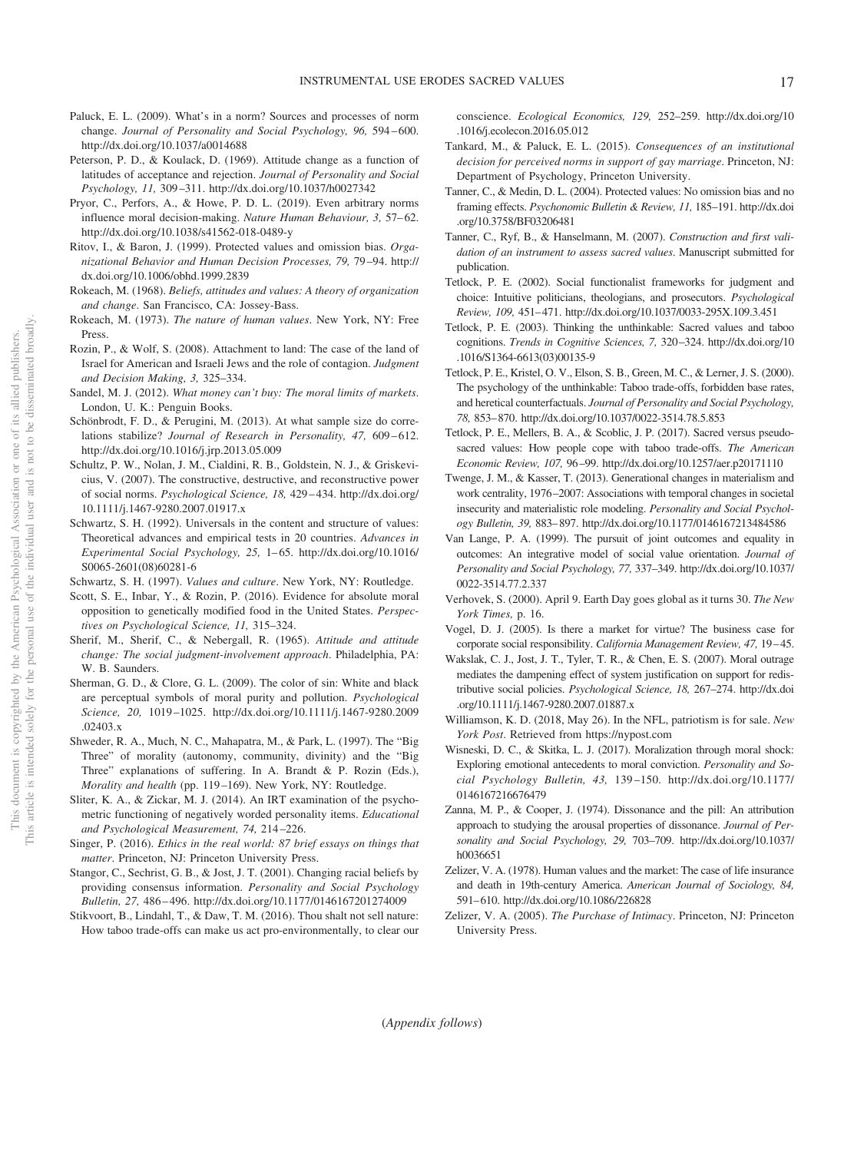- Paluck, E. L. (2009). What's in a norm? Sources and processes of norm change. *Journal of Personality and Social Psychology, 96,* 594–600. http://dx.doi.org/10.1037/a0014688
- Peterson, P. D., & Koulack, D. (1969). Attitude change as a function of latitudes of acceptance and rejection. *Journal of Personality and Social Psychology, 11,* 309–311. http://dx.doi.org/10.1037/h0027342
- Pryor, C., Perfors, A., & Howe, P. D. L. (2019). Even arbitrary norms influence moral decision-making. *Nature Human Behaviour, 3,* 57–62. http://dx.doi.org/10.1038/s41562-018-0489-y
- Ritov, I., & Baron, J. (1999). Protected values and omission bias. *Organizational Behavior and Human Decision Processes, 79,* 79–94. http:// dx.doi.org/10.1006/obhd.1999.2839
- Rokeach, M. (1968). *Beliefs, attitudes and values: A theory of organization and change*. San Francisco, CA: Jossey-Bass.
- Rokeach, M. (1973). *The nature of human values*. New York, NY: Free Press.
- Rozin, P., & Wolf, S. (2008). Attachment to land: The case of the land of Israel for American and Israeli Jews and the role of contagion. *Judgment and Decision Making, 3,* 325–334.
- Sandel, M. J. (2012). *What money can't buy: The moral limits of markets*. London, U. K.: Penguin Books.
- Schönbrodt, F. D., & Perugini, M. (2013). At what sample size do correlations stabilize? *Journal of Research in Personality, 47,* 609–612. http://dx.doi.org/10.1016/j.jrp.2013.05.009
- Schultz, P. W., Nolan, J. M., Cialdini, R. B., Goldstein, N. J., & Griskevicius, V. (2007). The constructive, destructive, and reconstructive power of social norms. *Psychological Science, 18,* 429–434. http://dx.doi.org/ 10.1111/j.1467-9280.2007.01917.x
- Schwartz, S. H. (1992). Universals in the content and structure of values: Theoretical advances and empirical tests in 20 countries. *Advances in Experimental Social Psychology, 25,* 1–65. http://dx.doi.org/10.1016/ S0065-2601(08)60281-6

Schwartz, S. H. (1997). *Values and culture*. New York, NY: Routledge.

- Scott, S. E., Inbar, Y., & Rozin, P. (2016). Evidence for absolute moral opposition to genetically modified food in the United States. *Perspectives on Psychological Science, 11,* 315–324.
- Sherif, M., Sherif, C., & Nebergall, R. (1965). *Attitude and attitude change: The social judgment-involvement approach*. Philadelphia, PA: W. B. Saunders.
- Sherman, G. D., & Clore, G. L. (2009). The color of sin: White and black are perceptual symbols of moral purity and pollution. *Psychological Science, 20,* 1019–1025. http://dx.doi.org/10.1111/j.1467-9280.2009 .02403.x
- Shweder, R. A., Much, N. C., Mahapatra, M., & Park, L. (1997). The "Big Three" of morality (autonomy, community, divinity) and the "Big Three" explanations of suffering. In A. Brandt & P. Rozin (Eds.), *Morality and health* (pp. 119–169). New York, NY: Routledge.
- Sliter, K. A., & Zickar, M. J. (2014). An IRT examination of the psychometric functioning of negatively worded personality items. *Educational and Psychological Measurement, 74,* 214–226.
- Singer, P. (2016). *Ethics in the real world: 87 brief essays on things that matter*. Princeton, NJ: Princeton University Press.
- Stangor, C., Sechrist, G. B., & Jost, J. T. (2001). Changing racial beliefs by providing consensus information. *Personality and Social Psychology Bulletin, 27,* 486–496. http://dx.doi.org/10.1177/0146167201274009
- Stikvoort, B., Lindahl, T., & Daw, T. M. (2016). Thou shalt not sell nature: How taboo trade-offs can make us act pro-environmentally, to clear our

conscience. *Ecological Economics, 129,* 252–259. http://dx.doi.org/10 .1016/j.ecolecon.2016.05.012

- Tankard, M., & Paluck, E. L. (2015). *Consequences of an institutional decision for perceived norms in support of gay marriage*. Princeton, NJ: Department of Psychology, Princeton University.
- Tanner, C., & Medin, D. L. (2004). Protected values: No omission bias and no framing effects. *Psychonomic Bulletin & Review, 11,* 185–191. http://dx.doi .org/10.3758/BF03206481
- Tanner, C., Ryf, B., & Hanselmann, M. (2007). *Construction and first validation of an instrument to assess sacred values*. Manuscript submitted for publication.
- Tetlock, P. E. (2002). Social functionalist frameworks for judgment and choice: Intuitive politicians, theologians, and prosecutors. *Psychological Review, 109,* 451–471. http://dx.doi.org/10.1037/0033-295X.109.3.451
- Tetlock, P. E. (2003). Thinking the unthinkable: Sacred values and taboo cognitions. *Trends in Cognitive Sciences, 7,* 320–324. http://dx.doi.org/10 .1016/S1364-6613(03)00135-9
- Tetlock, P. E., Kristel, O. V., Elson, S. B., Green, M. C., & Lerner, J. S. (2000). The psychology of the unthinkable: Taboo trade-offs, forbidden base rates, and heretical counterfactuals. *Journal of Personality and Social Psychology, 78,* 853–870. http://dx.doi.org/10.1037/0022-3514.78.5.853
- Tetlock, P. E., Mellers, B. A., & Scoblic, J. P. (2017). Sacred versus pseudosacred values: How people cope with taboo trade-offs. *The American Economic Review, 107,* 96–99. http://dx.doi.org/10.1257/aer.p20171110
- Twenge, J. M., & Kasser, T. (2013). Generational changes in materialism and work centrality, 1976–2007: Associations with temporal changes in societal insecurity and materialistic role modeling. *Personality and Social Psychology Bulletin, 39,* 883–897. http://dx.doi.org/10.1177/0146167213484586
- Van Lange, P. A. (1999). The pursuit of joint outcomes and equality in outcomes: An integrative model of social value orientation. *Journal of Personality and Social Psychology, 77,* 337–349. http://dx.doi.org/10.1037/ 0022-3514.77.2.337
- Verhovek, S. (2000). April 9. Earth Day goes global as it turns 30. *The New York Times,* p. 16.
- Vogel, D. J. (2005). Is there a market for virtue? The business case for corporate social responsibility. *California Management Review, 47,* 19–45.
- Wakslak, C. J., Jost, J. T., Tyler, T. R., & Chen, E. S. (2007). Moral outrage mediates the dampening effect of system justification on support for redistributive social policies. *Psychological Science, 18,* 267–274. http://dx.doi .org/10.1111/j.1467-9280.2007.01887.x
- Williamson, K. D. (2018, May 26). In the NFL, patriotism is for sale. *New York Post*. Retrieved from https://nypost.com
- Wisneski, D. C., & Skitka, L. J. (2017). Moralization through moral shock: Exploring emotional antecedents to moral conviction. *Personality and Social Psychology Bulletin, 43,* 139–150. http://dx.doi.org/10.1177/ 0146167216676479
- Zanna, M. P., & Cooper, J. (1974). Dissonance and the pill: An attribution approach to studying the arousal properties of dissonance. *Journal of Personality and Social Psychology, 29,* 703–709. http://dx.doi.org/10.1037/ h0036651
- Zelizer, V. A. (1978). Human values and the market: The case of life insurance and death in 19th-century America. *American Journal of Sociology, 84,* 591–610. http://dx.doi.org/10.1086/226828
- Zelizer, V. A. (2005). *The Purchase of Intimacy*. Princeton, NJ: Princeton University Press.

(*Appendix follows*)